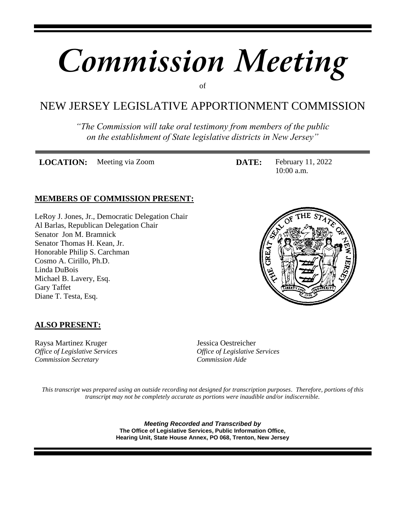# *Commission Meeting*

of

# NEW JERSEY LEGISLATIVE APPORTIONMENT COMMISSION

*"The Commission will take oral testimony from members of the public on the establishment of State legislative districts in New Jersey"*

**LOCATION:** Meeting via Zoom **DATE:** February 11, 2022

10:00 a.m.

## **MEMBERS OF COMMISSION PRESENT:**

LeRoy J. Jones, Jr., Democratic Delegation Chair Al Barlas, Republican Delegation Chair Senator Jon M. Bramnick Senator Thomas H. Kean, Jr. Honorable Philip S. Carchman Cosmo A. Cirillo, Ph.D. Linda DuBois Michael B. Lavery, Esq. Gary Taffet Diane T. Testa, Esq.



## **ALSO PRESENT:**

Raysa Martinez Kruger Jessica Oestreicher *Office of Legislative Services Office of Legislative Services Commission Secretary Commission Aide*

*This transcript was prepared using an outside recording not designed for transcription purposes. Therefore, portions of this transcript may not be completely accurate as portions were inaudible and/or indiscernible.*

> *Meeting Recorded and Transcribed by* **The Office of Legislative Services, Public Information Office, Hearing Unit, State House Annex, PO 068, Trenton, New Jersey**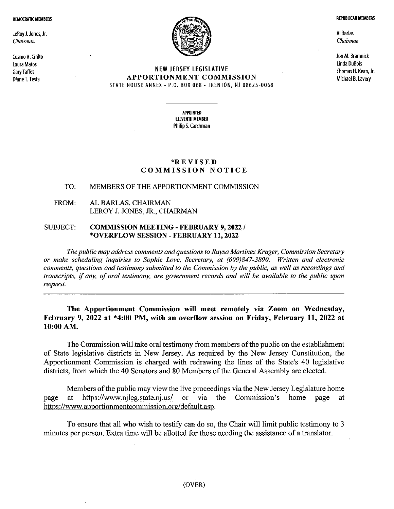**DEMOCRATIC MEMBERS** 

LeRoy J. Jones, Jr. Chairman

Cosmo A. Cirillo Laura Matos **Gary Taffet** Diane T. Testa



#### **NEW JERSEY LEGISLATIVE APPORTIONMENT COMMISSION** STATE HOUSE ANNEX - P.O. BOX 068 - TRENTON, NJ 08625-0068

**APPOINTED ELEVENTH MEMBER** Philip S. Carchman

#### \*REVISED **COMMISSION NOTICE**

#### MEMBERS OF THE APPORTIONMENT COMMISSION TO.

#### FROM: AL BARLAS, CHAIRMAN LEROY J. JONES, JR., CHAIRMAN

#### **SUBJECT: COMMISSION MEETING - FEBRUARY 9, 2022 /** \*OVERFLOW SESSION - FEBRUARY 11, 2022

The public may address comments and questions to Raysa Martinez Kruger, Commission Secretary or make scheduling inquiries to Sophie Love, Secretary, at (609)847-3890. Written and electronic comments, questions and testimony submitted to the Commission by the public, as well as recordings and transcripts, if any, of oral testimony, are government records and will be available to the public upon request.

#### The Apportionment Commission will meet remotely via Zoom on Wednesday, February 9, 2022 at \*4:00 PM, with an overflow session on Friday, February 11, 2022 at 10:00 AM.

The Commission will take oral testimony from members of the public on the establishment of State legislative districts in New Jersey. As required by the New Jersey Constitution, the Apportionment Commission is charged with redrawing the lines of the State's 40 legislative districts, from which the 40 Senators and 80 Members of the General Assembly are elected.

Members of the public may view the live proceedings via the New Jersey Legislature home https://www.njleg.state.nj.us/ or via the Commission's at home page page at https://www.apportionmentcommission.org/default.asp.

To ensure that all who wish to testify can do so, the Chair will limit public testimony to 3 minutes per person. Extra time will be allotted for those needing the assistance of a translator.

**REPUBLICAN MEMBERS** 

Al Barlas Chairman

Jon M. Bramnick Linda DuBois Thomas H. Kean, Jr. Michael B. Lavery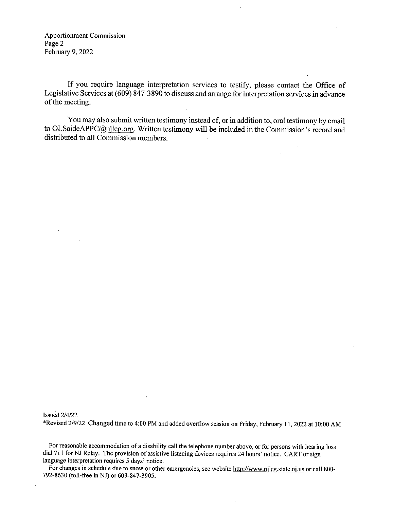**Apportionment Commission** Page 2 February 9, 2022

If you require language interpretation services to testify, please contact the Office of Legislative Services at (609) 847-3890 to discuss and arrange for interpretation services in advance of the meeting.

You may also submit written testimony instead of, or in addition to, oral testimony by email to OLSaideAPPC@njleg.org. Written testimony will be included in the Commission's record and distributed to all Commission members.

**Issued 2/4/22** 

\*Revised 2/9/22 Changed time to 4:00 PM and added overflow session on Friday, February 11, 2022 at 10:00 AM

 $\mathcal{F}_{\mathbf{a}}$ 

For reasonable accommodation of a disability call the telephone number above, or for persons with hearing loss dial 711 for NJ Relay. The provision of assistive listening devices requires 24 hours' notice. CART or sign language interpretation requires 5 days' notice.

For changes in schedule due to snow or other emergencies, see website http://www.njleg.state.nj.us or call 800-792-8630 (toll-free in NJ) or 609-847-3905.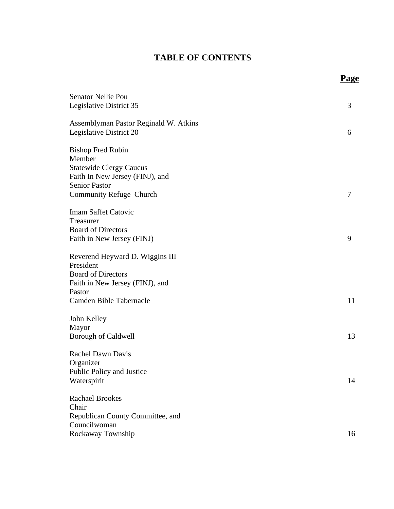# **TABLE OF CONTENTS**

**Page**

| Senator Nellie Pou<br>Legislative District 35                                                                                                              | 3  |
|------------------------------------------------------------------------------------------------------------------------------------------------------------|----|
| Assemblyman Pastor Reginald W. Atkins<br>Legislative District 20                                                                                           | 6  |
| <b>Bishop Fred Rubin</b><br>Member<br><b>Statewide Clergy Caucus</b><br>Faith In New Jersey (FINJ), and<br><b>Senior Pastor</b><br>Community Refuge Church | 7  |
| <b>Imam Saffet Catovic</b><br>Treasurer<br><b>Board of Directors</b><br>Faith in New Jersey (FINJ)                                                         | 9  |
| Reverend Heyward D. Wiggins III<br>President<br><b>Board of Directors</b><br>Faith in New Jersey (FINJ), and<br>Pastor<br>Camden Bible Tabernacle          | 11 |
| John Kelley<br>Mayor<br><b>Borough of Caldwell</b>                                                                                                         | 13 |
| <b>Rachel Dawn Davis</b><br>Organizer<br>Public Policy and Justice<br>Waterspirit                                                                          | 14 |
| <b>Rachael Brookes</b><br>Chair<br>Republican County Committee, and<br>Councilwoman<br>Rockaway Township                                                   | 16 |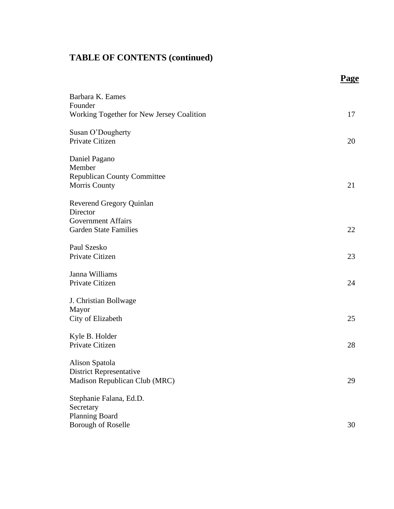|                                           | Page |
|-------------------------------------------|------|
| Barbara K. Eames                          |      |
| Founder                                   |      |
| Working Together for New Jersey Coalition | 17   |
| Susan O'Dougherty                         |      |
| Private Citizen                           | 20   |
| Daniel Pagano                             |      |
| Member                                    |      |
| <b>Republican County Committee</b>        |      |
| Morris County                             | 21   |
| <b>Reverend Gregory Quinlan</b>           |      |
| Director                                  |      |
| <b>Government Affairs</b>                 |      |
| <b>Garden State Families</b>              | 22   |
| Paul Szesko                               |      |
| Private Citizen                           | 23   |
| Janna Williams                            |      |
| Private Citizen                           | 24   |
| J. Christian Bollwage                     |      |
| Mayor                                     |      |
| City of Elizabeth                         | 25   |
| Kyle B. Holder                            |      |
| Private Citizen                           | 28   |
| Alison Spatola                            |      |
| <b>District Representative</b>            |      |
| Madison Republican Club (MRC)             | 29   |
| Stephanie Falana, Ed.D.                   |      |
| Secretary                                 |      |
| Planning Board                            |      |
| <b>Borough of Roselle</b>                 | 30   |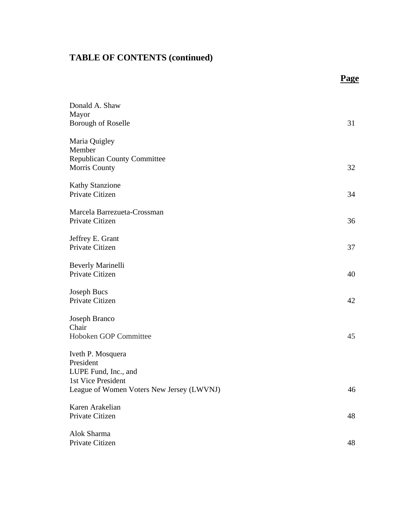|                                                     | Page |
|-----------------------------------------------------|------|
| Donald A. Shaw                                      |      |
| Mayor                                               |      |
| Borough of Roselle                                  | 31   |
| Maria Quigley                                       |      |
| Member                                              |      |
| <b>Republican County Committee</b><br>Morris County | 32   |
| <b>Kathy Stanzione</b>                              |      |
| Private Citizen                                     | 34   |
| Marcela Barrezueta-Crossman                         |      |
| Private Citizen                                     | 36   |
| Jeffrey E. Grant                                    |      |
| Private Citizen                                     | 37   |
| <b>Beverly Marinelli</b>                            |      |
| Private Citizen                                     | 40   |
| <b>Joseph Bucs</b>                                  |      |
| Private Citizen                                     | 42   |
| Joseph Branco                                       |      |
| Chair                                               |      |
| Hoboken GOP Committee                               | 45   |
| Iveth P. Mosquera                                   |      |
| President                                           |      |
| LUPE Fund, Inc., and                                |      |
| 1st Vice President                                  |      |
| League of Women Voters New Jersey (LWVNJ)           | 46   |
| Karen Arakelian                                     |      |
| Private Citizen                                     | 48   |
| Alok Sharma                                         |      |
| Private Citizen                                     | 48   |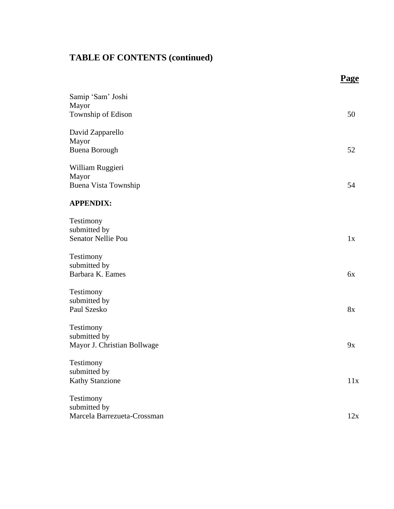|                                                  | <b>Page</b> |
|--------------------------------------------------|-------------|
| Samip 'Sam' Joshi<br>Mayor<br>Township of Edison | 50          |
| David Zapparello                                 |             |
| Mayor<br><b>Buena Borough</b>                    | 52          |
|                                                  |             |
| William Ruggieri<br>Mayor                        |             |
| Buena Vista Township                             | 54          |
| <b>APPENDIX:</b>                                 |             |
| Testimony                                        |             |
| submitted by<br>Senator Nellie Pou               | 1x          |
| Testimony                                        |             |
| submitted by                                     |             |
| Barbara K. Eames                                 | 6x          |
| Testimony                                        |             |
| submitted by<br>Paul Szesko                      | 8x          |
| Testimony                                        |             |
| submitted by                                     |             |
| Mayor J. Christian Bollwage                      | 9x          |
| Testimony                                        |             |
| submitted by<br><b>Kathy Stanzione</b>           | 11x         |
| Testimony                                        |             |
| submitted by                                     |             |
| Marcela Barrezueta-Crossman                      | 12x         |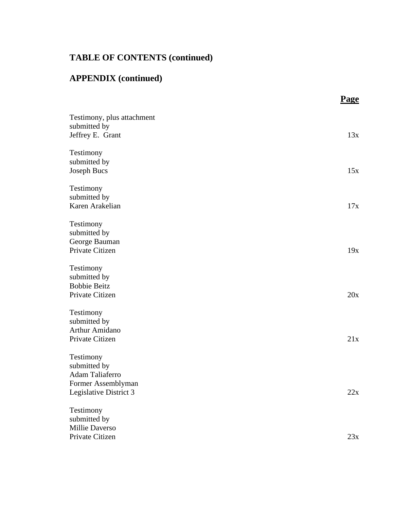# **APPENDIX (continued)**

|                            | <b>Page</b> |
|----------------------------|-------------|
| Testimony, plus attachment |             |
| submitted by               | 13x         |
| Jeffrey E. Grant           |             |
| Testimony                  |             |
| submitted by               |             |
| <b>Joseph Bucs</b>         | 15x         |
| Testimony                  |             |
| submitted by               |             |
| Karen Arakelian            | 17x         |
| Testimony                  |             |
| submitted by               |             |
| George Bauman              |             |
| Private Citizen            | 19x         |
| Testimony                  |             |
| submitted by               |             |
| <b>Bobbie Beitz</b>        |             |
| Private Citizen            | 20x         |
| Testimony                  |             |
| submitted by               |             |
| Arthur Amidano             |             |
| Private Citizen            | 21x         |
| Testimony                  |             |
| submitted by               |             |
| Adam Taliaferro            |             |
| Former Assemblyman         |             |
| Legislative District 3     | 22x         |
| Testimony                  |             |
| submitted by               |             |
| <b>Millie Daverso</b>      |             |
| Private Citizen            | 23x         |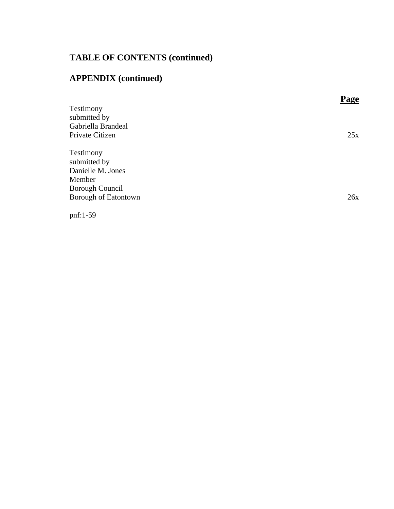# **APPENDIX (continued)**

|                        | Page |
|------------------------|------|
| Testimony              |      |
| submitted by           |      |
| Gabriella Brandeal     |      |
| Private Citizen        | 25x  |
|                        |      |
| Testimony              |      |
| submitted by           |      |
| Danielle M. Jones      |      |
| Member                 |      |
| <b>Borough Council</b> |      |
| Borough of Eatontown   | 26x  |
|                        |      |

pnf:1-59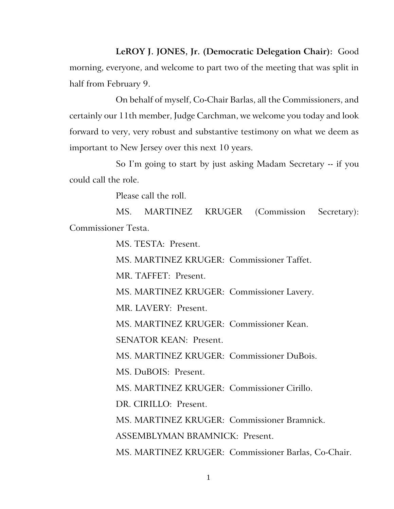**LeROY J. JONES, Jr. (Democratic Delegation Chair):** Good morning, everyone, and welcome to part two of the meeting that was split in half from February 9.

On behalf of myself, Co-Chair Barlas, all the Commissioners, and certainly our 11th member, Judge Carchman, we welcome you today and look forward to very, very robust and substantive testimony on what we deem as important to New Jersey over this next 10 years.

So I'm going to start by just asking Madam Secretary -- if you could call the role.

Please call the roll.

MS. MARTINEZ KRUGER (Commission Secretary): Commissioner Testa.

MS. TESTA: Present.

MS. MARTINEZ KRUGER: Commissioner Taffet.

MR. TAFFET: Present.

MS. MARTINEZ KRUGER: Commissioner Lavery.

MR. LAVERY: Present.

MS. MARTINEZ KRUGER: Commissioner Kean.

SENATOR KEAN: Present.

MS. MARTINEZ KRUGER: Commissioner DuBois.

MS. DuBOIS: Present.

MS. MARTINEZ KRUGER: Commissioner Cirillo.

DR. CIRILLO: Present.

MS. MARTINEZ KRUGER: Commissioner Bramnick.

ASSEMBLYMAN BRAMNICK: Present.

MS. MARTINEZ KRUGER: Commissioner Barlas, Co-Chair.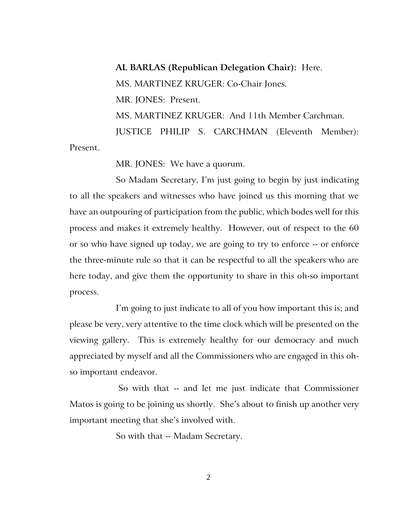**AL BARLAS (Republican Delegation Chair):** Here. MS. MARTINEZ KRUGER: Co-Chair Jones. MR. JONES: Present. MS. MARTINEZ KRUGER: And 11th Member Carchman. JUSTICE PHILIP S. CARCHMAN (Eleventh Member): Present.

MR. JONES: We have a quorum.

So Madam Secretary, I'm just going to begin by just indicating to all the speakers and witnesses who have joined us this morning that we have an outpouring of participation from the public, which bodes well for this process and makes it extremely healthy. However, out of respect to the 60 or so who have signed up today, we are going to try to enforce -- or enforce the three-minute rule so that it can be respectful to all the speakers who are here today, and give them the opportunity to share in this oh-so important process.

I'm going to just indicate to all of you how important this is; and please be very, very attentive to the time clock which will be presented on the viewing gallery. This is extremely healthy for our democracy and much appreciated by myself and all the Commissioners who are engaged in this ohso important endeavor.

So with that -- and let me just indicate that Commissioner Matos is going to be joining us shortly. She's about to finish up another very important meeting that she's involved with.

So with that -- Madam Secretary.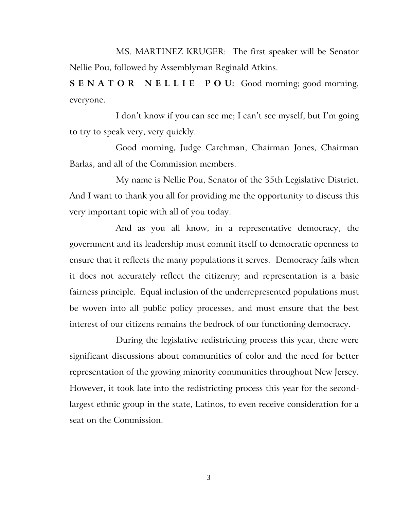MS. MARTINEZ KRUGER: The first speaker will be Senator Nellie Pou, followed by Assemblyman Reginald Atkins.

**S E N A T O R N E L L I E P O U:** Good morning; good morning, everyone.

I don't know if you can see me; I can't see myself, but I'm going to try to speak very, very quickly.

Good morning, Judge Carchman, Chairman Jones, Chairman Barlas, and all of the Commission members.

My name is Nellie Pou, Senator of the 35th Legislative District. And I want to thank you all for providing me the opportunity to discuss this very important topic with all of you today.

And as you all know, in a representative democracy, the government and its leadership must commit itself to democratic openness to ensure that it reflects the many populations it serves. Democracy fails when it does not accurately reflect the citizenry; and representation is a basic fairness principle. Equal inclusion of the underrepresented populations must be woven into all public policy processes, and must ensure that the best interest of our citizens remains the bedrock of our functioning democracy.

During the legislative redistricting process this year, there were significant discussions about communities of color and the need for better representation of the growing minority communities throughout New Jersey. However, it took late into the redistricting process this year for the secondlargest ethnic group in the state, Latinos, to even receive consideration for a seat on the Commission.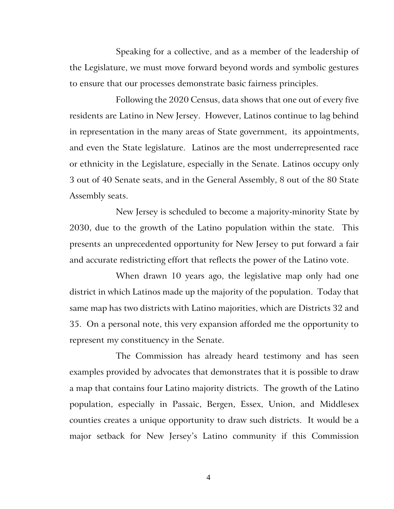Speaking for a collective, and as a member of the leadership of the Legislature, we must move forward beyond words and symbolic gestures to ensure that our processes demonstrate basic fairness principles.

Following the 2020 Census, data shows that one out of every five residents are Latino in New Jersey. However, Latinos continue to lag behind in representation in the many areas of State government, its appointments, and even the State legislature. Latinos are the most underrepresented race or ethnicity in the Legislature, especially in the Senate. Latinos occupy only 3 out of 40 Senate seats, and in the General Assembly, 8 out of the 80 State Assembly seats.

New Jersey is scheduled to become a majority-minority State by 2030, due to the growth of the Latino population within the state. This presents an unprecedented opportunity for New Jersey to put forward a fair and accurate redistricting effort that reflects the power of the Latino vote.

When drawn 10 years ago, the legislative map only had one district in which Latinos made up the majority of the population. Today that same map has two districts with Latino majorities, which are Districts 32 and 35. On a personal note, this very expansion afforded me the opportunity to represent my constituency in the Senate.

The Commission has already heard testimony and has seen examples provided by advocates that demonstrates that it is possible to draw a map that contains four Latino majority districts. The growth of the Latino population, especially in Passaic, Bergen, Essex, Union, and Middlesex counties creates a unique opportunity to draw such districts. It would be a major setback for New Jersey's Latino community if this Commission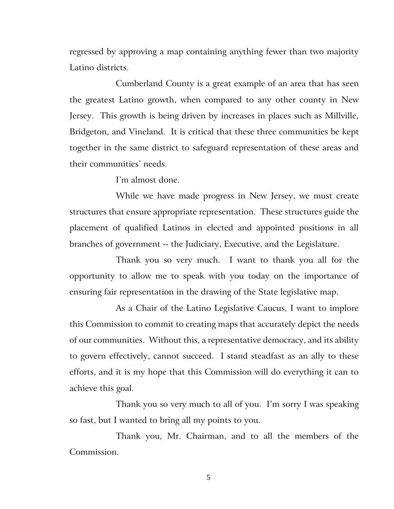regressed by approving a map containing anything fewer than two majority Latino districts.

Cumberland County is a great example of an area that has seen the greatest Latino growth, when compared to any other county in New Jersey. This growth is being driven by increases in places such as Millville, Bridgeton, and Vineland. It is critical that these three communities be kept together in the same district to safeguard representation of these areas and their communities' needs.

I'm almost done.

While we have made progress in New Jersey, we must create structures that ensure appropriate representation. These structures guide the placement of qualified Latinos in elected and appointed positions in all branches of government -- the Judiciary, Executive, and the Legislature.

Thank you so very much. I want to thank you all for the opportunity to allow me to speak with you today on the importance of ensuring fair representation in the drawing of the State legislative map.

As a Chair of the Latino Legislative Caucus, I want to implore this Commission to commit to creating maps that accurately depict the needs of our communities. Without this, a representative democracy, and its ability to govern effectively, cannot succeed. I stand steadfast as an ally to these efforts, and it is my hope that this Commission will do everything it can to achieve this goal.

Thank you so very much to all of you. I'm sorry I was speaking so fast, but I wanted to bring all my points to you.

Thank you, Mr. Chairman, and to all the members of the Commission.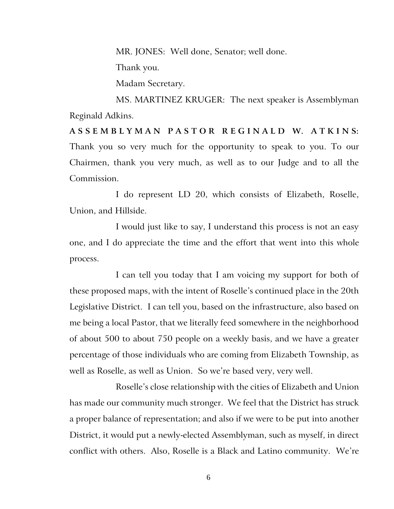MR. JONES: Well done, Senator; well done.

Thank you.

Madam Secretary.

MS. MARTINEZ KRUGER: The next speaker is Assemblyman Reginald Adkins.

**A S S E M B L Y M A N P A S T O R R E G I N A L D W. A T K I N S:** Thank you so very much for the opportunity to speak to you. To our Chairmen, thank you very much, as well as to our Judge and to all the Commission.

I do represent LD 20, which consists of Elizabeth, Roselle, Union, and Hillside.

I would just like to say, I understand this process is not an easy one, and I do appreciate the time and the effort that went into this whole process.

I can tell you today that I am voicing my support for both of these proposed maps, with the intent of Roselle's continued place in the 20th Legislative District. I can tell you, based on the infrastructure, also based on me being a local Pastor, that we literally feed somewhere in the neighborhood of about 500 to about 750 people on a weekly basis, and we have a greater percentage of those individuals who are coming from Elizabeth Township, as well as Roselle, as well as Union. So we're based very, very well.

Roselle's close relationship with the cities of Elizabeth and Union has made our community much stronger. We feel that the District has struck a proper balance of representation; and also if we were to be put into another District, it would put a newly-elected Assemblyman, such as myself, in direct conflict with others. Also, Roselle is a Black and Latino community. We're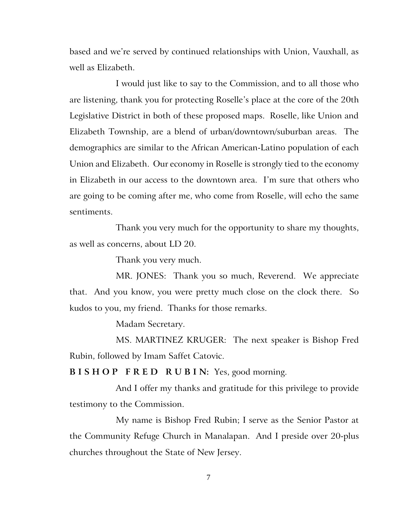based and we're served by continued relationships with Union, Vauxhall, as well as Elizabeth.

I would just like to say to the Commission, and to all those who are listening, thank you for protecting Roselle's place at the core of the 20th Legislative District in both of these proposed maps. Roselle, like Union and Elizabeth Township, are a blend of urban/downtown/suburban areas. The demographics are similar to the African American-Latino population of each Union and Elizabeth. Our economy in Roselle is strongly tied to the economy in Elizabeth in our access to the downtown area. I'm sure that others who are going to be coming after me, who come from Roselle, will echo the same sentiments.

Thank you very much for the opportunity to share my thoughts, as well as concerns, about LD 20.

Thank you very much.

MR. JONES: Thank you so much, Reverend. We appreciate that. And you know, you were pretty much close on the clock there. So kudos to you, my friend. Thanks for those remarks.

Madam Secretary.

MS. MARTINEZ KRUGER: The next speaker is Bishop Fred Rubin, followed by Imam Saffet Catovic.

**B I S H O P F R E D R U B I N:** Yes, good morning.

And I offer my thanks and gratitude for this privilege to provide testimony to the Commission.

My name is Bishop Fred Rubin; I serve as the Senior Pastor at the Community Refuge Church in Manalapan. And I preside over 20-plus churches throughout the State of New Jersey.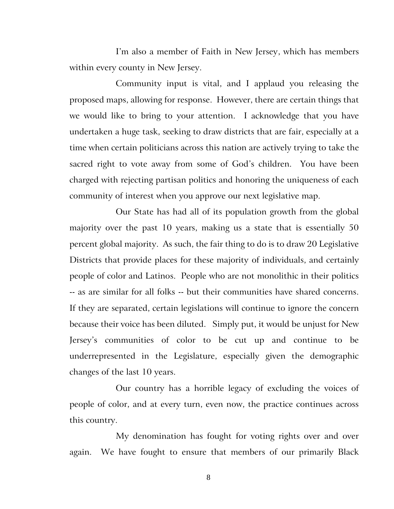I'm also a member of Faith in New Jersey, which has members within every county in New Jersey.

Community input is vital, and I applaud you releasing the proposed maps, allowing for response. However, there are certain things that we would like to bring to your attention. I acknowledge that you have undertaken a huge task, seeking to draw districts that are fair, especially at a time when certain politicians across this nation are actively trying to take the sacred right to vote away from some of God's children. You have been charged with rejecting partisan politics and honoring the uniqueness of each community of interest when you approve our next legislative map.

Our State has had all of its population growth from the global majority over the past 10 years, making us a state that is essentially 50 percent global majority. As such, the fair thing to do is to draw 20 Legislative Districts that provide places for these majority of individuals, and certainly people of color and Latinos. People who are not monolithic in their politics -- as are similar for all folks -- but their communities have shared concerns. If they are separated, certain legislations will continue to ignore the concern because their voice has been diluted. Simply put, it would be unjust for New Jersey's communities of color to be cut up and continue to be underrepresented in the Legislature, especially given the demographic changes of the last 10 years.

Our country has a horrible legacy of excluding the voices of people of color, and at every turn, even now, the practice continues across this country.

My denomination has fought for voting rights over and over again. We have fought to ensure that members of our primarily Black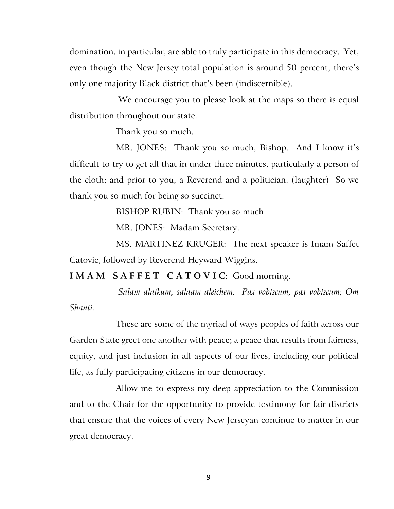domination, in particular, are able to truly participate in this democracy. Yet, even though the New Jersey total population is around 50 percent, there's only one majority Black district that's been (indiscernible).

We encourage you to please look at the maps so there is equal distribution throughout our state.

Thank you so much.

MR. JONES: Thank you so much, Bishop. And I know it's difficult to try to get all that in under three minutes, particularly a person of the cloth; and prior to you, a Reverend and a politician. (laughter) So we thank you so much for being so succinct.

BISHOP RUBIN: Thank you so much.

MR. JONES: Madam Secretary.

MS. MARTINEZ KRUGER: The next speaker is Imam Saffet Catovic, followed by Reverend Heyward Wiggins.

**I M A M S A F F E T C A T O V I C:** Good morning.

*Salam alaikum, salaam aleichem. Pax vobiscum, pax vobiscum; Om Shanti.*

These are some of the myriad of ways peoples of faith across our Garden State greet one another with peace; a peace that results from fairness, equity, and just inclusion in all aspects of our lives, including our political life, as fully participating citizens in our democracy.

Allow me to express my deep appreciation to the Commission and to the Chair for the opportunity to provide testimony for fair districts that ensure that the voices of every New Jerseyan continue to matter in our great democracy.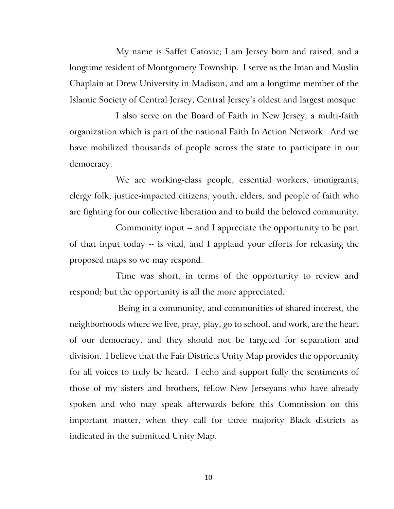My name is Saffet Catovic; I am Jersey born and raised, and a longtime resident of Montgomery Township. I serve as the Iman and Muslin Chaplain at Drew University in Madison, and am a longtime member of the Islamic Society of Central Jersey, Central Jersey's oldest and largest mosque.

I also serve on the Board of Faith in New Jersey, a multi-faith organization which is part of the national Faith In Action Network. And we have mobilized thousands of people across the state to participate in our democracy.

We are working-class people, essential workers, immigrants, clergy folk, justice-impacted citizens, youth, elders, and people of faith who are fighting for our collective liberation and to build the beloved community.

Community input -- and I appreciate the opportunity to be part of that input today -- is vital, and I applaud your efforts for releasing the proposed maps so we may respond.

Time was short, in terms of the opportunity to review and respond; but the opportunity is all the more appreciated.

Being in a community, and communities of shared interest, the neighborhoods where we live, pray, play, go to school, and work, are the heart of our democracy, and they should not be targeted for separation and division. I believe that the Fair Districts Unity Map provides the opportunity for all voices to truly be heard. I echo and support fully the sentiments of those of my sisters and brothers, fellow New Jerseyans who have already spoken and who may speak afterwards before this Commission on this important matter, when they call for three majority Black districts as indicated in the submitted Unity Map.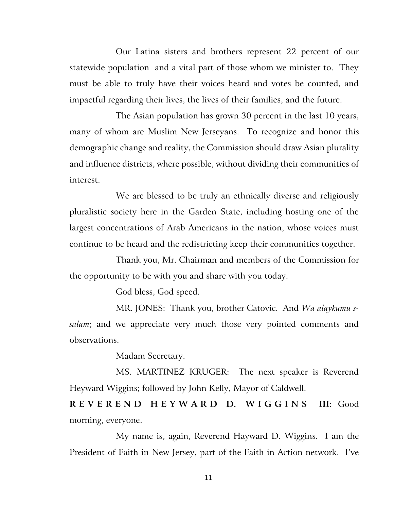Our Latina sisters and brothers represent 22 percent of our statewide population and a vital part of those whom we minister to. They must be able to truly have their voices heard and votes be counted, and impactful regarding their lives, the lives of their families, and the future.

The Asian population has grown 30 percent in the last 10 years, many of whom are Muslim New Jerseyans. To recognize and honor this demographic change and reality, the Commission should draw Asian plurality and influence districts, where possible, without dividing their communities of interest.

We are blessed to be truly an ethnically diverse and religiously pluralistic society here in the Garden State, including hosting one of the largest concentrations of Arab Americans in the nation, whose voices must continue to be heard and the redistricting keep their communities together.

Thank you, Mr. Chairman and members of the Commission for the opportunity to be with you and share with you today.

God bless, God speed.

MR. JONES: Thank you, brother Catovic. And *Wa alaykumu ssalam*; and we appreciate very much those very pointed comments and observations.

Madam Secretary.

MS. MARTINEZ KRUGER: The next speaker is Reverend Heyward Wiggins; followed by John Kelly, Mayor of Caldwell.

**R E V E R E N D H E Y W A R D D. W I G G I N S III:** Good morning, everyone.

My name is, again, Reverend Hayward D. Wiggins. I am the President of Faith in New Jersey, part of the Faith in Action network. I've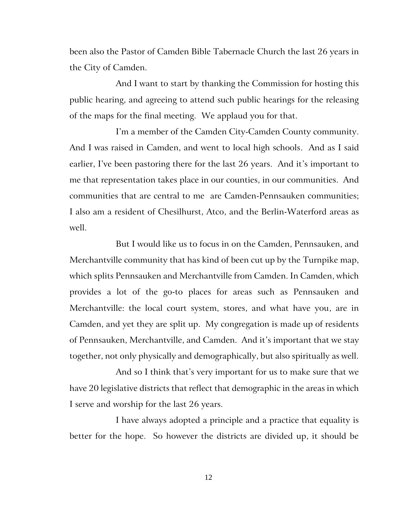been also the Pastor of Camden Bible Tabernacle Church the last 26 years in the City of Camden.

And I want to start by thanking the Commission for hosting this public hearing, and agreeing to attend such public hearings for the releasing of the maps for the final meeting. We applaud you for that.

I'm a member of the Camden City-Camden County community. And I was raised in Camden, and went to local high schools. And as I said earlier, I've been pastoring there for the last 26 years. And it's important to me that representation takes place in our counties, in our communities. And communities that are central to me are Camden-Pennsauken communities; I also am a resident of Chesilhurst, Atco, and the Berlin-Waterford areas as well.

But I would like us to focus in on the Camden, Pennsauken, and Merchantville community that has kind of been cut up by the Turnpike map, which splits Pennsauken and Merchantville from Camden. In Camden, which provides a lot of the go-to places for areas such as Pennsauken and Merchantville: the local court system, stores, and what have you, are in Camden, and yet they are split up. My congregation is made up of residents of Pennsauken, Merchantville, and Camden. And it's important that we stay together, not only physically and demographically, but also spiritually as well.

And so I think that's very important for us to make sure that we have 20 legislative districts that reflect that demographic in the areas in which I serve and worship for the last 26 years.

I have always adopted a principle and a practice that equality is better for the hope. So however the districts are divided up, it should be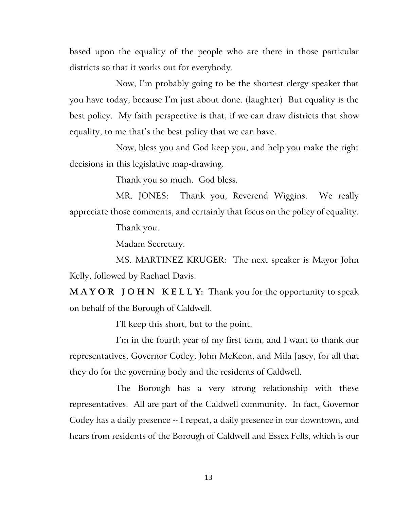based upon the equality of the people who are there in those particular districts so that it works out for everybody.

Now, I'm probably going to be the shortest clergy speaker that you have today, because I'm just about done. (laughter) But equality is the best policy. My faith perspective is that, if we can draw districts that show equality, to me that's the best policy that we can have.

Now, bless you and God keep you, and help you make the right decisions in this legislative map-drawing.

Thank you so much. God bless.

MR. JONES: Thank you, Reverend Wiggins. We really appreciate those comments, and certainly that focus on the policy of equality.

Thank you.

Madam Secretary.

MS. MARTINEZ KRUGER: The next speaker is Mayor John Kelly, followed by Rachael Davis.

**M A Y O R J O H N K E L L Y:** Thank you for the opportunity to speak on behalf of the Borough of Caldwell.

I'll keep this short, but to the point.

I'm in the fourth year of my first term, and I want to thank our representatives, Governor Codey, John McKeon, and Mila Jasey, for all that they do for the governing body and the residents of Caldwell.

The Borough has a very strong relationship with these representatives. All are part of the Caldwell community. In fact, Governor Codey has a daily presence -- I repeat, a daily presence in our downtown, and hears from residents of the Borough of Caldwell and Essex Fells, which is our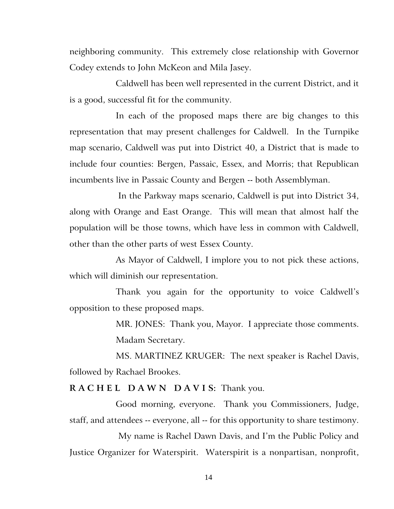neighboring community. This extremely close relationship with Governor Codey extends to John McKeon and Mila Jasey.

Caldwell has been well represented in the current District, and it is a good, successful fit for the community.

In each of the proposed maps there are big changes to this representation that may present challenges for Caldwell. In the Turnpike map scenario, Caldwell was put into District 40, a District that is made to include four counties: Bergen, Passaic, Essex, and Morris; that Republican incumbents live in Passaic County and Bergen -- both Assemblyman.

In the Parkway maps scenario, Caldwell is put into District 34, along with Orange and East Orange. This will mean that almost half the population will be those towns, which have less in common with Caldwell, other than the other parts of west Essex County.

As Mayor of Caldwell, I implore you to not pick these actions, which will diminish our representation.

Thank you again for the opportunity to voice Caldwell's opposition to these proposed maps.

> MR. JONES: Thank you, Mayor. I appreciate those comments. Madam Secretary.

MS. MARTINEZ KRUGER: The next speaker is Rachel Davis, followed by Rachael Brookes.

#### **R A C H E L D A W N D A V I S:** Thank you.

Good morning, everyone. Thank you Commissioners, Judge, staff, and attendees -- everyone, all -- for this opportunity to share testimony.

My name is Rachel Dawn Davis, and I'm the Public Policy and Justice Organizer for Waterspirit. Waterspirit is a nonpartisan, nonprofit,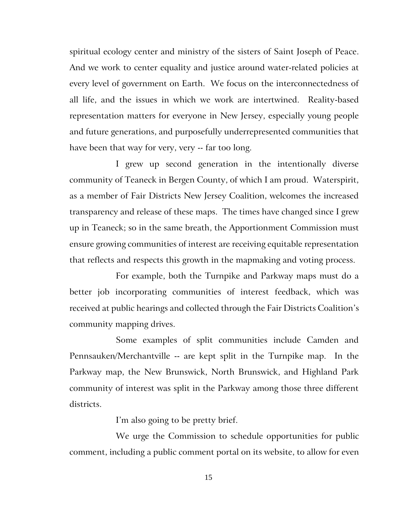spiritual ecology center and ministry of the sisters of Saint Joseph of Peace. And we work to center equality and justice around water-related policies at every level of government on Earth. We focus on the interconnectedness of all life, and the issues in which we work are intertwined. Reality-based representation matters for everyone in New Jersey, especially young people and future generations, and purposefully underrepresented communities that have been that way for very, very -- far too long.

I grew up second generation in the intentionally diverse community of Teaneck in Bergen County, of which I am proud. Waterspirit, as a member of Fair Districts New Jersey Coalition, welcomes the increased transparency and release of these maps. The times have changed since I grew up in Teaneck; so in the same breath, the Apportionment Commission must ensure growing communities of interest are receiving equitable representation that reflects and respects this growth in the mapmaking and voting process.

For example, both the Turnpike and Parkway maps must do a better job incorporating communities of interest feedback, which was received at public hearings and collected through the Fair Districts Coalition's community mapping drives.

Some examples of split communities include Camden and Pennsauken/Merchantville -- are kept split in the Turnpike map. In the Parkway map, the New Brunswick, North Brunswick, and Highland Park community of interest was split in the Parkway among those three different districts.

I'm also going to be pretty brief.

We urge the Commission to schedule opportunities for public comment, including a public comment portal on its website, to allow for even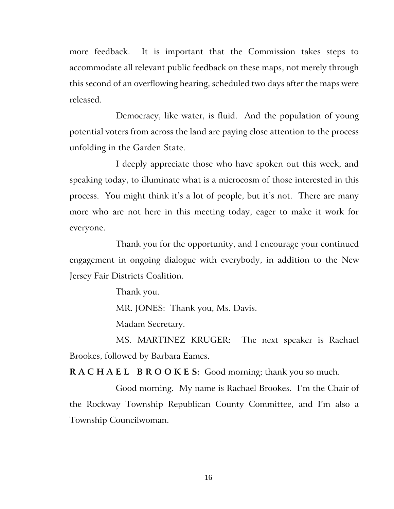more feedback. It is important that the Commission takes steps to accommodate all relevant public feedback on these maps, not merely through this second of an overflowing hearing, scheduled two days after the maps were released.

Democracy, like water, is fluid. And the population of young potential voters from across the land are paying close attention to the process unfolding in the Garden State.

I deeply appreciate those who have spoken out this week, and speaking today, to illuminate what is a microcosm of those interested in this process. You might think it's a lot of people, but it's not. There are many more who are not here in this meeting today, eager to make it work for everyone.

Thank you for the opportunity, and I encourage your continued engagement in ongoing dialogue with everybody, in addition to the New Jersey Fair Districts Coalition.

Thank you.

MR. JONES: Thank you, Ms. Davis.

Madam Secretary.

MS. MARTINEZ KRUGER: The next speaker is Rachael Brookes, followed by Barbara Eames.

**R A C H A E L B R O O K E S:** Good morning; thank you so much.

Good morning. My name is Rachael Brookes. I'm the Chair of the Rockway Township Republican County Committee, and I'm also a Township Councilwoman.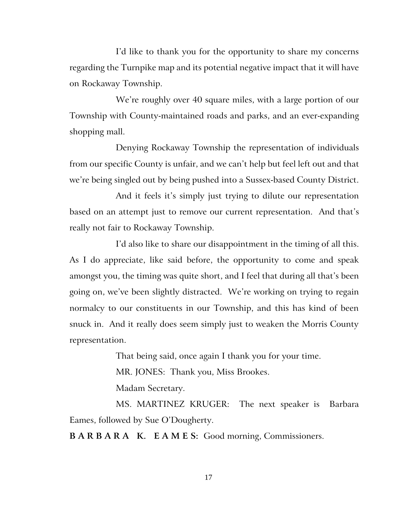I'd like to thank you for the opportunity to share my concerns regarding the Turnpike map and its potential negative impact that it will have on Rockaway Township.

We're roughly over 40 square miles, with a large portion of our Township with County-maintained roads and parks, and an ever-expanding shopping mall.

Denying Rockaway Township the representation of individuals from our specific County is unfair, and we can't help but feel left out and that we're being singled out by being pushed into a Sussex-based County District.

And it feels it's simply just trying to dilute our representation based on an attempt just to remove our current representation. And that's really not fair to Rockaway Township.

I'd also like to share our disappointment in the timing of all this. As I do appreciate, like said before, the opportunity to come and speak amongst you, the timing was quite short, and I feel that during all that's been going on, we've been slightly distracted. We're working on trying to regain normalcy to our constituents in our Township, and this has kind of been snuck in. And it really does seem simply just to weaken the Morris County representation.

That being said, once again I thank you for your time.

MR. JONES: Thank you, Miss Brookes.

Madam Secretary.

MS. MARTINEZ KRUGER: The next speaker is Barbara Eames, followed by Sue O'Dougherty.

**B A R B A R A K. E A M E S:** Good morning, Commissioners.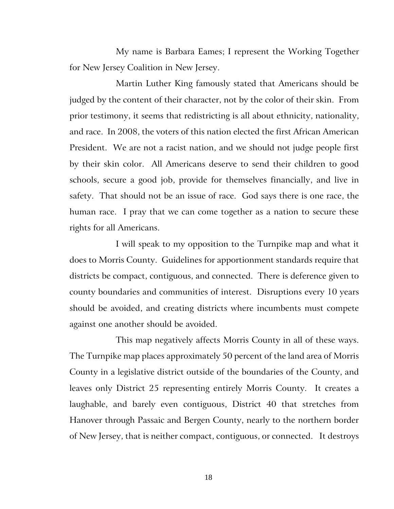My name is Barbara Eames; I represent the Working Together for New Jersey Coalition in New Jersey.

Martin Luther King famously stated that Americans should be judged by the content of their character, not by the color of their skin. From prior testimony, it seems that redistricting is all about ethnicity, nationality, and race. In 2008, the voters of this nation elected the first African American President. We are not a racist nation, and we should not judge people first by their skin color. All Americans deserve to send their children to good schools, secure a good job, provide for themselves financially, and live in safety. That should not be an issue of race. God says there is one race, the human race. I pray that we can come together as a nation to secure these rights for all Americans.

I will speak to my opposition to the Turnpike map and what it does to Morris County. Guidelines for apportionment standards require that districts be compact, contiguous, and connected. There is deference given to county boundaries and communities of interest. Disruptions every 10 years should be avoided, and creating districts where incumbents must compete against one another should be avoided.

This map negatively affects Morris County in all of these ways. The Turnpike map places approximately 50 percent of the land area of Morris County in a legislative district outside of the boundaries of the County, and leaves only District 25 representing entirely Morris County. It creates a laughable, and barely even contiguous, District 40 that stretches from Hanover through Passaic and Bergen County, nearly to the northern border of New Jersey, that is neither compact, contiguous, or connected. It destroys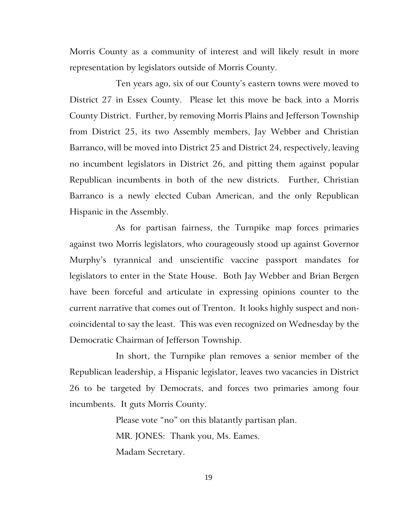Morris County as a community of interest and will likely result in more representation by legislators outside of Morris County.

Ten years ago, six of our County's eastern towns were moved to District 27 in Essex County. Please let this move be back into a Morris County District. Further, by removing Morris Plains and Jefferson Township from District 25, its two Assembly members, Jay Webber and Christian Barranco, will be moved into District 25 and District 24, respectively, leaving no incumbent legislators in District 26, and pitting them against popular Republican incumbents in both of the new districts. Further, Christian Barranco is a newly elected Cuban American, and the only Republican Hispanic in the Assembly.

As for partisan fairness, the Turnpike map forces primaries against two Morris legislators, who courageously stood up against Governor Murphy's tyrannical and unscientific vaccine passport mandates for legislators to enter in the State House. Both Jay Webber and Brian Bergen have been forceful and articulate in expressing opinions counter to the current narrative that comes out of Trenton. It looks highly suspect and noncoincidental to say the least. This was even recognized on Wednesday by the Democratic Chairman of Jefferson Township.

In short, the Turnpike plan removes a senior member of the Republican leadership, a Hispanic legislator, leaves two vacancies in District 26 to be targeted by Democrats, and forces two primaries among four incumbents. It guts Morris County.

> Please vote "no" on this blatantly partisan plan. MR. JONES: Thank you, Ms. Eames. Madam Secretary.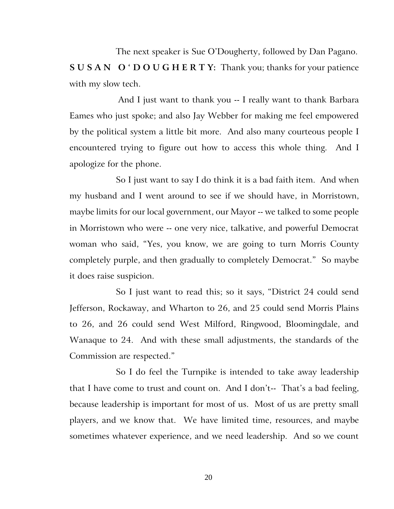The next speaker is Sue O'Dougherty, followed by Dan Pagano. **S U S A N O ' D O U G H E R T Y:** Thank you; thanks for your patience with my slow tech.

And I just want to thank you -- I really want to thank Barbara Eames who just spoke; and also Jay Webber for making me feel empowered by the political system a little bit more. And also many courteous people I encountered trying to figure out how to access this whole thing. And I apologize for the phone.

So I just want to say I do think it is a bad faith item. And when my husband and I went around to see if we should have, in Morristown, maybe limits for our local government, our Mayor -- we talked to some people in Morristown who were -- one very nice, talkative, and powerful Democrat woman who said, "Yes, you know, we are going to turn Morris County completely purple, and then gradually to completely Democrat." So maybe it does raise suspicion.

So I just want to read this; so it says, "District 24 could send Jefferson, Rockaway, and Wharton to 26, and 25 could send Morris Plains to 26, and 26 could send West Milford, Ringwood, Bloomingdale, and Wanaque to 24. And with these small adjustments, the standards of the Commission are respected."

So I do feel the Turnpike is intended to take away leadership that I have come to trust and count on. And I don't-- That's a bad feeling, because leadership is important for most of us. Most of us are pretty small players, and we know that. We have limited time, resources, and maybe sometimes whatever experience, and we need leadership. And so we count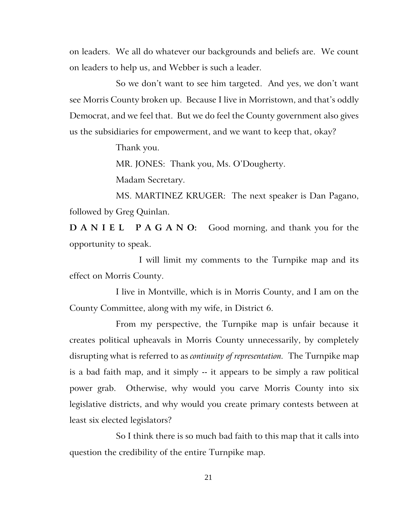on leaders. We all do whatever our backgrounds and beliefs are. We count on leaders to help us, and Webber is such a leader.

So we don't want to see him targeted. And yes, we don't want see Morris County broken up. Because I live in Morristown, and that's oddly Democrat, and we feel that. But we do feel the County government also gives us the subsidiaries for empowerment, and we want to keep that, okay?

Thank you.

MR. JONES: Thank you, Ms. O'Dougherty.

Madam Secretary.

MS. MARTINEZ KRUGER: The next speaker is Dan Pagano, followed by Greg Quinlan.

**D A N I E L P A G A N O:** Good morning, and thank you for the opportunity to speak.

I will limit my comments to the Turnpike map and its effect on Morris County.

I live in Montville, which is in Morris County, and I am on the County Committee, along with my wife, in District 6.

From my perspective, the Turnpike map is unfair because it creates political upheavals in Morris County unnecessarily, by completely disrupting what is referred to as *continuity of representation.* The Turnpike map is a bad faith map, and it simply -- it appears to be simply a raw political power grab. Otherwise, why would you carve Morris County into six legislative districts, and why would you create primary contests between at least six elected legislators?

So I think there is so much bad faith to this map that it calls into question the credibility of the entire Turnpike map.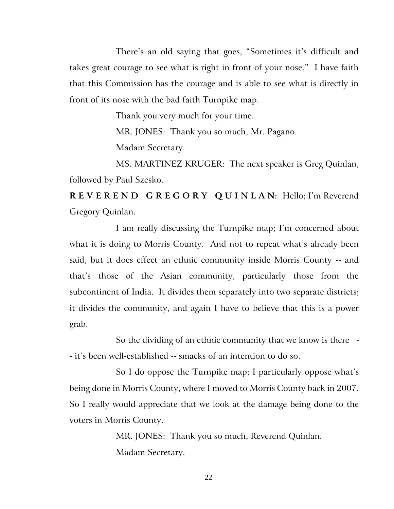There's an old saying that goes, "Sometimes it's difficult and takes great courage to see what is right in front of your nose." I have faith that this Commission has the courage and is able to see what is directly in front of its nose with the bad faith Turnpike map.

Thank you very much for your time.

MR. JONES: Thank you so much, Mr. Pagano.

Madam Secretary.

MS. MARTINEZ KRUGER: The next speaker is Greg Quinlan, followed by Paul Szesko.

**R E V E R E N D G R E G O R Y Q U I N L A N:** Hello; I'm Reverend Gregory Quinlan.

I am really discussing the Turnpike map; I'm concerned about what it is doing to Morris County. And not to repeat what's already been said, but it does effect an ethnic community inside Morris County -- and that's those of the Asian community, particularly those from the subcontinent of India. It divides them separately into two separate districts; it divides the community, and again I have to believe that this is a power grab.

So the dividing of an ethnic community that we know is there - - it's been well-established -- smacks of an intention to do so.

So I do oppose the Turnpike map; I particularly oppose what's being done in Morris County, where I moved to Morris County back in 2007. So I really would appreciate that we look at the damage being done to the voters in Morris County.

> MR. JONES: Thank you so much, Reverend Quinlan. Madam Secretary.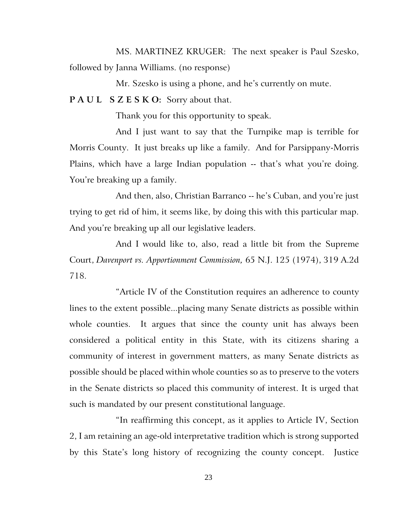MS. MARTINEZ KRUGER: The next speaker is Paul Szesko, followed by Janna Williams. (no response)

Mr. Szesko is using a phone, and he's currently on mute.

## **P A U L S Z E S K O:** Sorry about that.

Thank you for this opportunity to speak.

And I just want to say that the Turnpike map is terrible for Morris County. It just breaks up like a family. And for Parsippany-Morris Plains, which have a large Indian population -- that's what you're doing. You're breaking up a family.

And then, also, Christian Barranco -- he's Cuban, and you're just trying to get rid of him, it seems like, by doing this with this particular map. And you're breaking up all our legislative leaders.

And I would like to, also, read a little bit from the Supreme Court, *Davenport vs. Apportionment Commission,* 65 N.J. 125 (1974), 319 A.2d 718.

"Article IV of the Constitution requires an adherence to county lines to the extent possible...placing many Senate districts as possible within whole counties. It argues that since the county unit has always been considered a political entity in this State, with its citizens sharing a community of interest in government matters, as many Senate districts as possible should be placed within whole counties so as to preserve to the voters in the Senate districts so placed this community of interest. It is urged that such is mandated by our present constitutional language.

"In reaffirming this concept, as it applies to Article IV, Section 2, I am retaining an age-old interpretative tradition which is strong supported by this State's long history of recognizing the county concept. Justice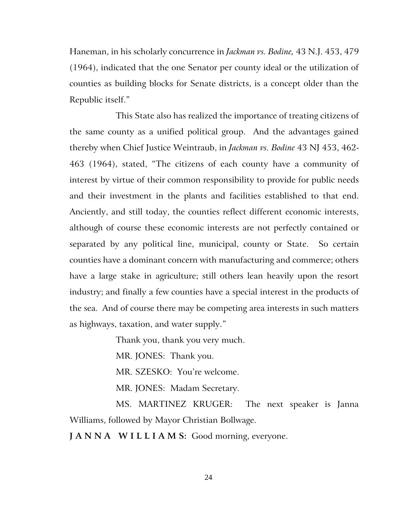Haneman, in his scholarly concurrence in *Jackman vs. Bodine,* 43 N.J. 453, 479 (1964), indicated that the one Senator per county ideal or the utilization of counties as building blocks for Senate districts, is a concept older than the Republic itself."

This State also has realized the importance of treating citizens of the same county as a unified political group. And the advantages gained thereby when Chief Justice Weintraub, in *Jackman vs. Bodine* 43 NJ 453, 462- 463 (1964), stated, "The citizens of each county have a community of interest by virtue of their common responsibility to provide for public needs and their investment in the plants and facilities established to that end. Anciently, and still today, the counties reflect different economic interests, although of course these economic interests are not perfectly contained or separated by any political line, municipal, county or State. So certain counties have a dominant concern with manufacturing and commerce; others have a large stake in agriculture; still others lean heavily upon the resort industry; and finally a few counties have a special interest in the products of the sea. And of course there may be competing area interests in such matters as highways, taxation, and water supply."

Thank you, thank you very much.

MR. JONES: Thank you.

MR. SZESKO: You're welcome.

MR. JONES: Madam Secretary.

MS. MARTINEZ KRUGER: The next speaker is Janna Williams, followed by Mayor Christian Bollwage.

**J A N N A W I L L I A M S:** Good morning, everyone.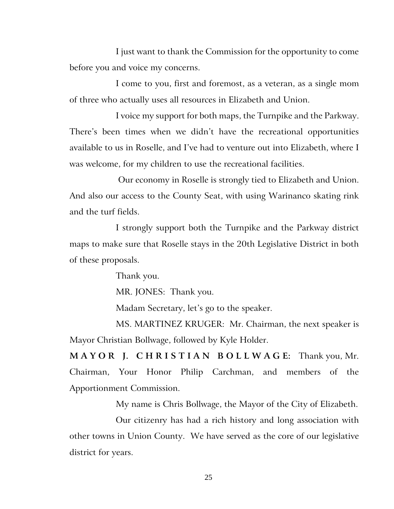I just want to thank the Commission for the opportunity to come before you and voice my concerns.

I come to you, first and foremost, as a veteran, as a single mom of three who actually uses all resources in Elizabeth and Union.

I voice my support for both maps, the Turnpike and the Parkway. There's been times when we didn't have the recreational opportunities available to us in Roselle, and I've had to venture out into Elizabeth, where I was welcome, for my children to use the recreational facilities.

Our economy in Roselle is strongly tied to Elizabeth and Union. And also our access to the County Seat, with using Warinanco skating rink and the turf fields.

I strongly support both the Turnpike and the Parkway district maps to make sure that Roselle stays in the 20th Legislative District in both of these proposals.

Thank you.

MR. JONES: Thank you.

Madam Secretary, let's go to the speaker.

MS. MARTINEZ KRUGER: Mr. Chairman, the next speaker is Mayor Christian Bollwage, followed by Kyle Holder.

**M A Y O R J. C H R I S T I A N B O L L W A G E:** Thank you, Mr. Chairman, Your Honor Philip Carchman, and members of the Apportionment Commission.

My name is Chris Bollwage, the Mayor of the City of Elizabeth.

Our citizenry has had a rich history and long association with other towns in Union County. We have served as the core of our legislative district for years.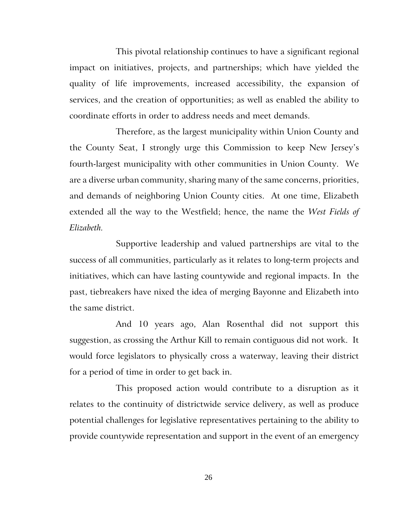This pivotal relationship continues to have a significant regional impact on initiatives, projects, and partnerships; which have yielded the quality of life improvements, increased accessibility, the expansion of services, and the creation of opportunities; as well as enabled the ability to coordinate efforts in order to address needs and meet demands.

Therefore, as the largest municipality within Union County and the County Seat, I strongly urge this Commission to keep New Jersey's fourth-largest municipality with other communities in Union County. We are a diverse urban community, sharing many of the same concerns, priorities, and demands of neighboring Union County cities. At one time, Elizabeth extended all the way to the Westfield; hence, the name the *West Fields of Elizabeth.*

Supportive leadership and valued partnerships are vital to the success of all communities, particularly as it relates to long-term projects and initiatives, which can have lasting countywide and regional impacts. In the past, tiebreakers have nixed the idea of merging Bayonne and Elizabeth into the same district.

And 10 years ago, Alan Rosenthal did not support this suggestion, as crossing the Arthur Kill to remain contiguous did not work. It would force legislators to physically cross a waterway, leaving their district for a period of time in order to get back in.

This proposed action would contribute to a disruption as it relates to the continuity of districtwide service delivery, as well as produce potential challenges for legislative representatives pertaining to the ability to provide countywide representation and support in the event of an emergency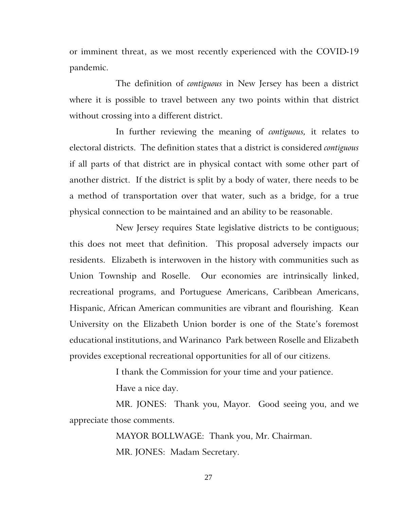or imminent threat, as we most recently experienced with the COVID-19 pandemic.

The definition of *contiguous* in New Jersey has been a district where it is possible to travel between any two points within that district without crossing into a different district.

In further reviewing the meaning of *contiguous,* it relates to electoral districts. The definition states that a district is considered *contiguous*  if all parts of that district are in physical contact with some other part of another district. If the district is split by a body of water, there needs to be a method of transportation over that water, such as a bridge, for a true physical connection to be maintained and an ability to be reasonable.

New Jersey requires State legislative districts to be contiguous; this does not meet that definition. This proposal adversely impacts our residents. Elizabeth is interwoven in the history with communities such as Union Township and Roselle. Our economies are intrinsically linked, recreational programs, and Portuguese Americans, Caribbean Americans, Hispanic, African American communities are vibrant and flourishing. Kean University on the Elizabeth Union border is one of the State's foremost educational institutions, and [Warinanco](https://www.elizabethnj.org/Facilities/Facility/Details/Warinanco-Park-32) Park between Roselle and Elizabeth provides exceptional recreational opportunities for all of our citizens.

I thank the Commission for your time and your patience.

Have a nice day.

MR. JONES: Thank you, Mayor. Good seeing you, and we appreciate those comments.

> MAYOR BOLLWAGE: Thank you, Mr. Chairman. MR. JONES: Madam Secretary.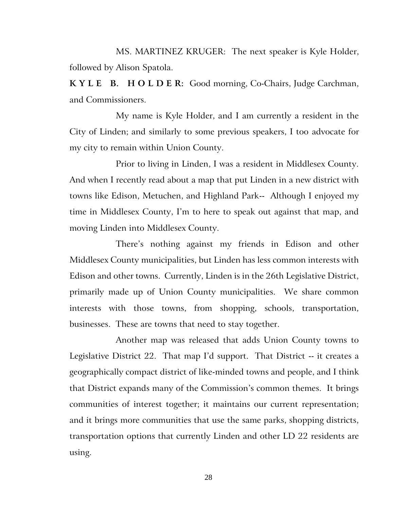MS. MARTINEZ KRUGER: The next speaker is Kyle Holder, followed by Alison Spatola.

**K Y L E B. H O L D E R:** Good morning, Co-Chairs, Judge Carchman, and Commissioners.

My name is Kyle Holder, and I am currently a resident in the City of Linden; and similarly to some previous speakers, I too advocate for my city to remain within Union County.

Prior to living in Linden, I was a resident in Middlesex County. And when I recently read about a map that put Linden in a new district with towns like Edison, Metuchen, and Highland Park-- Although I enjoyed my time in Middlesex County, I'm to here to speak out against that map, and moving Linden into Middlesex County.

There's nothing against my friends in Edison and other Middlesex County municipalities, but Linden has less common interests with Edison and other towns. Currently, Linden is in the 26th Legislative District, primarily made up of Union County municipalities. We share common interests with those towns, from shopping, schools, transportation, businesses. These are towns that need to stay together.

Another map was released that adds Union County towns to Legislative District 22. That map I'd support. That District -- it creates a geographically compact district of like-minded towns and people, and I think that District expands many of the Commission's common themes. It brings communities of interest together; it maintains our current representation; and it brings more communities that use the same parks, shopping districts, transportation options that currently Linden and other LD 22 residents are using.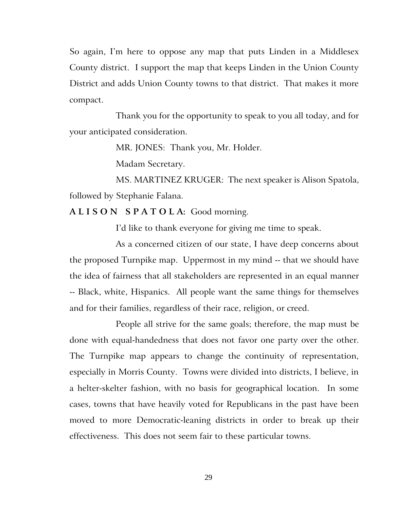So again, I'm here to oppose any map that puts Linden in a Middlesex County district. I support the map that keeps Linden in the Union County District and adds Union County towns to that district. That makes it more compact.

Thank you for the opportunity to speak to you all today, and for your anticipated consideration.

MR. JONES: Thank you, Mr. Holder.

Madam Secretary.

MS. MARTINEZ KRUGER: The next speaker is Alison Spatola, followed by Stephanie Falana.

**A L I S O N S P A T O L A:** Good morning.

I'd like to thank everyone for giving me time to speak.

As a concerned citizen of our state, I have deep concerns about the proposed Turnpike map. Uppermost in my mind -- that we should have the idea of fairness that all stakeholders are represented in an equal manner -- Black, white, Hispanics. All people want the same things for themselves and for their families, regardless of their race, religion, or creed.

People all strive for the same goals; therefore, the map must be done with equal-handedness that does not favor one party over the other. The Turnpike map appears to change the continuity of representation, especially in Morris County. Towns were divided into districts, I believe, in a helter-skelter fashion, with no basis for geographical location. In some cases, towns that have heavily voted for Republicans in the past have been moved to more Democratic-leaning districts in order to break up their effectiveness. This does not seem fair to these particular towns.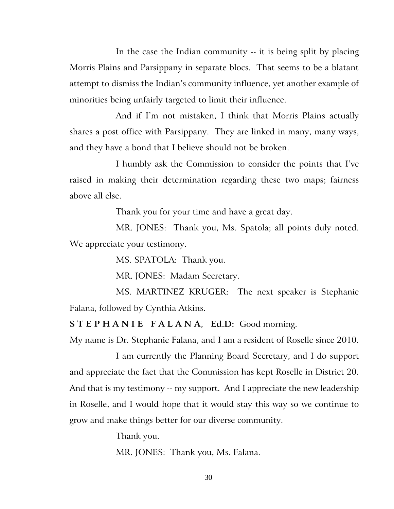In the case the Indian community -- it is being split by placing Morris Plains and Parsippany in separate blocs. That seems to be a blatant attempt to dismiss the Indian's community influence, yet another example of minorities being unfairly targeted to limit their influence.

And if I'm not mistaken, I think that Morris Plains actually shares a post office with Parsippany. They are linked in many, many ways, and they have a bond that I believe should not be broken.

I humbly ask the Commission to consider the points that I've raised in making their determination regarding these two maps; fairness above all else.

Thank you for your time and have a great day.

MR. JONES: Thank you, Ms. Spatola; all points duly noted. We appreciate your testimony.

MS. SPATOLA: Thank you.

MR. JONES: Madam Secretary.

MS. MARTINEZ KRUGER: The next speaker is Stephanie Falana, followed by Cynthia Atkins.

**S T E P H A N I E F A L A N A, Ed.D:** Good morning.

My name is Dr. Stephanie Falana, and I am a resident of Roselle since 2010.

I am currently the Planning Board Secretary, and I do support and appreciate the fact that the Commission has kept Roselle in District 20. And that is my testimony -- my support. And I appreciate the new leadership in Roselle, and I would hope that it would stay this way so we continue to grow and make things better for our diverse community.

Thank you.

MR. JONES: Thank you, Ms. Falana.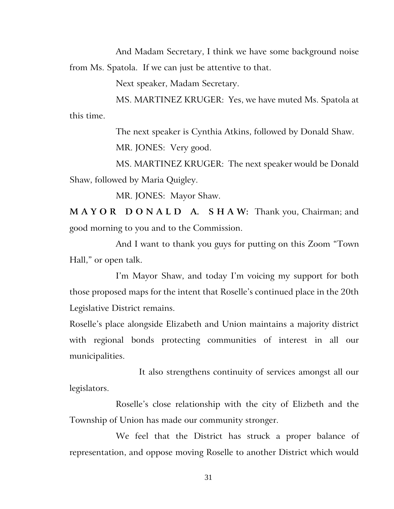And Madam Secretary, I think we have some background noise from Ms. Spatola. If we can just be attentive to that.

Next speaker, Madam Secretary.

MS. MARTINEZ KRUGER: Yes, we have muted Ms. Spatola at this time.

> The next speaker is Cynthia Atkins, followed by Donald Shaw. MR. JONES: Very good.

MS. MARTINEZ KRUGER: The next speaker would be Donald Shaw, followed by Maria Quigley.

MR. JONES: Mayor Shaw.

**M A Y O R D O N A L D A. S H A W:** Thank you, Chairman; and good morning to you and to the Commission.

And I want to thank you guys for putting on this Zoom "Town Hall," or open talk.

I'm Mayor Shaw, and today I'm voicing my support for both those proposed maps for the intent that Roselle's continued place in the 20th Legislative District remains.

Roselle's place alongside Elizabeth and Union maintains a majority district with regional bonds protecting communities of interest in all our municipalities.

It also strengthens continuity of services amongst all our legislators.

Roselle's close relationship with the city of Elizbeth and the Township of Union has made our community stronger.

We feel that the District has struck a proper balance of representation, and oppose moving Roselle to another District which would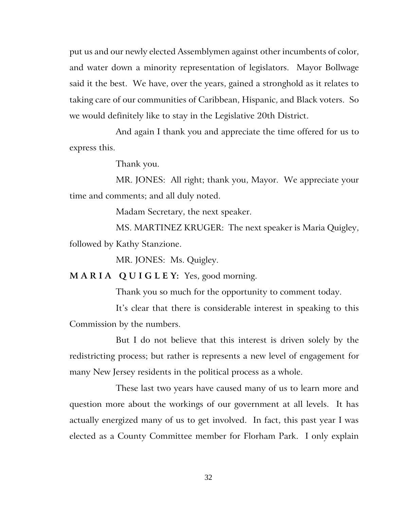put us and our newly elected Assemblymen against other incumbents of color, and water down a minority representation of legislators. Mayor Bollwage said it the best. We have, over the years, gained a stronghold as it relates to taking care of our communities of Caribbean, Hispanic, and Black voters. So we would definitely like to stay in the Legislative 20th District.

And again I thank you and appreciate the time offered for us to express this.

Thank you.

MR. JONES: All right; thank you, Mayor. We appreciate your time and comments; and all duly noted.

Madam Secretary, the next speaker.

MS. MARTINEZ KRUGER: The next speaker is Maria Quigley, followed by Kathy Stanzione.

MR. JONES: Ms. Quigley.

**M A R I A Q U I G L E Y:** Yes, good morning.

Thank you so much for the opportunity to comment today.

It's clear that there is considerable interest in speaking to this Commission by the numbers.

But I do not believe that this interest is driven solely by the redistricting process; but rather is represents a new level of engagement for many New Jersey residents in the political process as a whole.

These last two years have caused many of us to learn more and question more about the workings of our government at all levels. It has actually energized many of us to get involved. In fact, this past year I was elected as a County Committee member for Florham Park. I only explain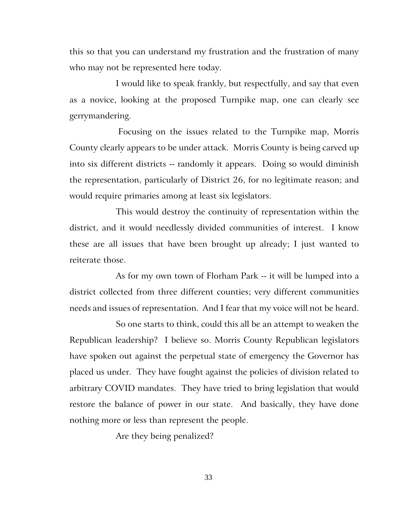this so that you can understand my frustration and the frustration of many who may not be represented here today.

I would like to speak frankly, but respectfully, and say that even as a novice, looking at the proposed Turnpike map, one can clearly see gerrymandering.

Focusing on the issues related to the Turnpike map, Morris County clearly appears to be under attack. Morris County is being carved up into six different districts -- randomly it appears. Doing so would diminish the representation, particularly of District 26, for no legitimate reason; and would require primaries among at least six legislators.

This would destroy the continuity of representation within the district, and it would needlessly divided communities of interest. I know these are all issues that have been brought up already; I just wanted to reiterate those.

As for my own town of Florham Park -- it will be lumped into a district collected from three different counties; very different communities needs and issues of representation. And I fear that my voice will not be heard.

So one starts to think, could this all be an attempt to weaken the Republican leadership? I believe so. Morris County Republican legislators have spoken out against the perpetual state of emergency the Governor has placed us under. They have fought against the policies of division related to arbitrary COVID mandates. They have tried to bring legislation that would restore the balance of power in our state. And basically, they have done nothing more or less than represent the people.

Are they being penalized?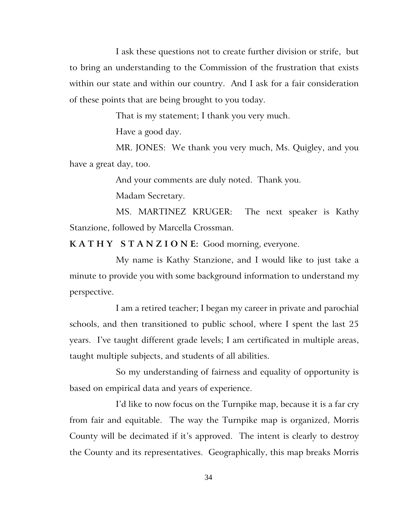I ask these questions not to create further division or strife, but to bring an understanding to the Commission of the frustration that exists within our state and within our country. And I ask for a fair consideration of these points that are being brought to you today.

That is my statement; I thank you very much.

Have a good day.

MR. JONES: We thank you very much, Ms. Quigley, and you have a great day, too.

And your comments are duly noted. Thank you.

Madam Secretary.

MS. MARTINEZ KRUGER: The next speaker is Kathy Stanzione, followed by Marcella Crossman.

**K A T H Y S T A N Z I O N E:** Good morning, everyone.

My name is Kathy Stanzione, and I would like to just take a minute to provide you with some background information to understand my perspective.

I am a retired teacher; I began my career in private and parochial schools, and then transitioned to public school, where I spent the last 25 years. I've taught different grade levels; I am certificated in multiple areas, taught multiple subjects, and students of all abilities.

So my understanding of fairness and equality of opportunity is based on empirical data and years of experience.

I'd like to now focus on the Turnpike map, because it is a far cry from fair and equitable. The way the Turnpike map is organized, Morris County will be decimated if it's approved. The intent is clearly to destroy the County and its representatives. Geographically, this map breaks Morris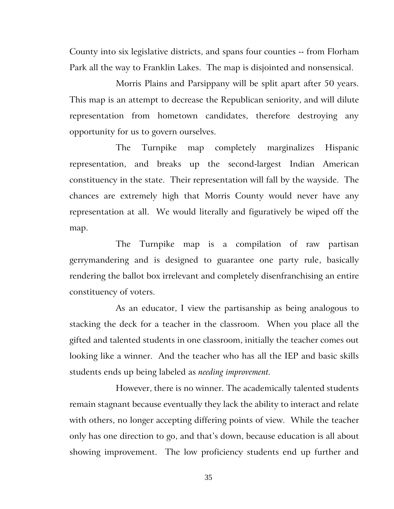County into six legislative districts, and spans four counties -- from Florham Park all the way to Franklin Lakes. The map is disjointed and nonsensical.

Morris Plains and Parsippany will be split apart after 50 years. This map is an attempt to decrease the Republican seniority, and will dilute representation from hometown candidates, therefore destroying any opportunity for us to govern ourselves.

The Turnpike map completely marginalizes Hispanic representation, and breaks up the second-largest Indian American constituency in the state. Their representation will fall by the wayside. The chances are extremely high that Morris County would never have any representation at all. We would literally and figuratively be wiped off the map.

The Turnpike map is a compilation of raw partisan gerrymandering and is designed to guarantee one party rule, basically rendering the ballot box irrelevant and completely disenfranchising an entire constituency of voters.

As an educator, I view the partisanship as being analogous to stacking the deck for a teacher in the classroom. When you place all the gifted and talented students in one classroom, initially the teacher comes out looking like a winner. And the teacher who has all the IEP and basic skills students ends up being labeled as *needing improvement.*

However, there is no winner. The academically talented students remain stagnant because eventually they lack the ability to interact and relate with others, no longer accepting differing points of view. While the teacher only has one direction to go, and that's down, because education is all about showing improvement. The low proficiency students end up further and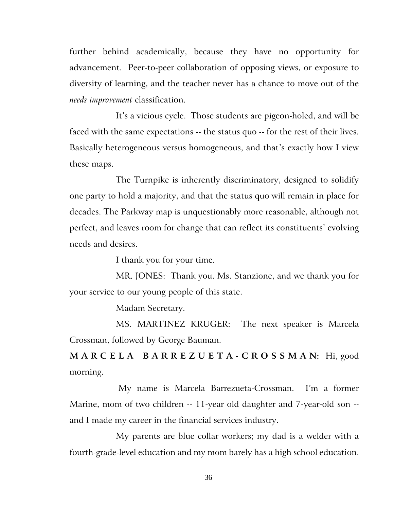further behind academically, because they have no opportunity for advancement. Peer-to-peer collaboration of opposing views, or exposure to diversity of learning, and the teacher never has a chance to move out of the *needs improvement* classification.

It's a vicious cycle. Those students are pigeon-holed, and will be faced with the same expectations -- the status quo -- for the rest of their lives. Basically heterogeneous versus homogeneous, and that's exactly how I view these maps.

The Turnpike is inherently discriminatory, designed to solidify one party to hold a majority, and that the status quo will remain in place for decades. The Parkway map is unquestionably more reasonable, although not perfect, and leaves room for change that can reflect its constituents' evolving needs and desires.

I thank you for your time.

MR. JONES: Thank you. Ms. Stanzione, and we thank you for your service to our young people of this state.

Madam Secretary.

MS. MARTINEZ KRUGER: The next speaker is Marcela Crossman, followed by George Bauman.

**M A R C E L A B A R R E Z U E T A - C R O S S M A N:** Hi, good morning.

My name is Marcela Barrezueta-Crossman. I'm a former Marine, mom of two children -- 11-year old daughter and 7-year-old son - and I made my career in the financial services industry.

My parents are blue collar workers; my dad is a welder with a fourth-grade-level education and my mom barely has a high school education.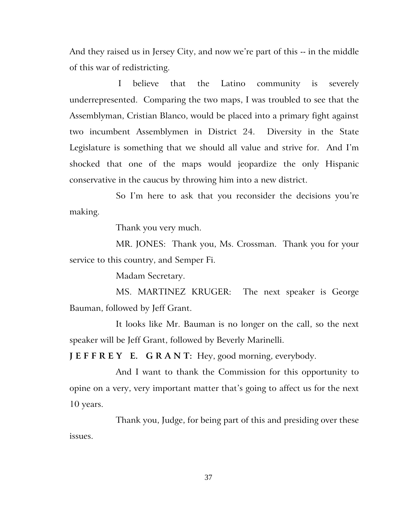And they raised us in Jersey City, and now we're part of this -- in the middle of this war of redistricting.

I believe that the Latino community is severely underrepresented. Comparing the two maps, I was troubled to see that the Assemblyman, Cristian Blanco, would be placed into a primary fight against two incumbent Assemblymen in District 24. Diversity in the State Legislature is something that we should all value and strive for. And I'm shocked that one of the maps would jeopardize the only Hispanic conservative in the caucus by throwing him into a new district.

So I'm here to ask that you reconsider the decisions you're making.

Thank you very much.

MR. JONES: Thank you, Ms. Crossman. Thank you for your service to this country, and Semper Fi.

Madam Secretary.

MS. MARTINEZ KRUGER: The next speaker is George Bauman, followed by Jeff Grant.

It looks like Mr. Bauman is no longer on the call, so the next speaker will be Jeff Grant, followed by Beverly Marinelli.

J E F F R E Y E. G R A N T: Hey, good morning, everybody.

And I want to thank the Commission for this opportunity to opine on a very, very important matter that's going to affect us for the next 10 years.

Thank you, Judge, for being part of this and presiding over these issues.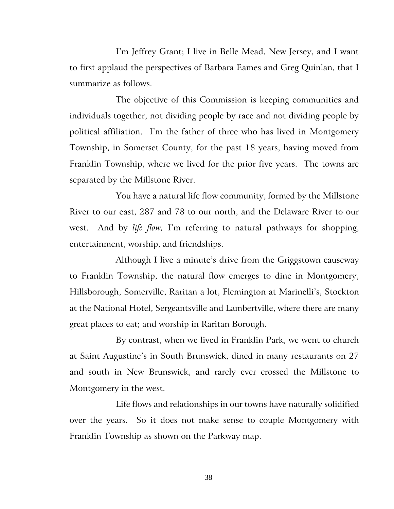I'm Jeffrey Grant; I live in Belle Mead, New Jersey, and I want to first applaud the perspectives of Barbara Eames and Greg Quinlan, that I summarize as follows.

The objective of this Commission is keeping communities and individuals together, not dividing people by race and not dividing people by political affiliation. I'm the father of three who has lived in Montgomery Township, in Somerset County, for the past 18 years, having moved from Franklin Township, where we lived for the prior five years. The towns are separated by the Millstone River.

You have a natural life flow community, formed by the Millstone River to our east, 287 and 78 to our north, and the Delaware River to our west. And by *life flow,* I'm referring to natural pathways for shopping, entertainment, worship, and friendships.

Although I live a minute's drive from the Griggstown causeway to Franklin Township, the natural flow emerges to dine in Montgomery, Hillsborough, Somerville, Raritan a lot, Flemington at Marinelli's, Stockton at the National Hotel, Sergeantsville and Lambertville, where there are many great places to eat; and worship in Raritan Borough.

By contrast, when we lived in Franklin Park, we went to church at Saint Augustine's in South Brunswick, dined in many restaurants on 27 and south in New Brunswick, and rarely ever crossed the Millstone to Montgomery in the west.

Life flows and relationships in our towns have naturally solidified over the years. So it does not make sense to couple Montgomery with Franklin Township as shown on the Parkway map.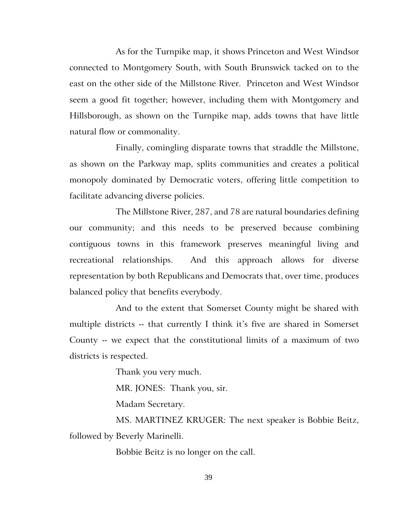As for the Turnpike map, it shows Princeton and West Windsor connected to Montgomery South, with South Brunswick tacked on to the east on the other side of the Millstone River. Princeton and West Windsor seem a good fit together; however, including them with Montgomery and Hillsborough, as shown on the Turnpike map, adds towns that have little natural flow or commonality.

Finally, comingling disparate towns that straddle the Millstone, as shown on the Parkway map, splits communities and creates a political monopoly dominated by Democratic voters, offering little competition to facilitate advancing diverse policies.

The Millstone River, 287, and 78 are natural boundaries defining our community; and this needs to be preserved because combining contiguous towns in this framework preserves meaningful living and recreational relationships. And this approach allows for diverse representation by both Republicans and Democrats that, over time, produces balanced policy that benefits everybody.

And to the extent that Somerset County might be shared with multiple districts -- that currently I think it's five are shared in Somerset County -- we expect that the constitutional limits of a maximum of two districts is respected.

Thank you very much.

MR. JONES: Thank you, sir.

Madam Secretary.

MS. MARTINEZ KRUGER: The next speaker is Bobbie Beitz, followed by Beverly Marinelli.

Bobbie Beitz is no longer on the call.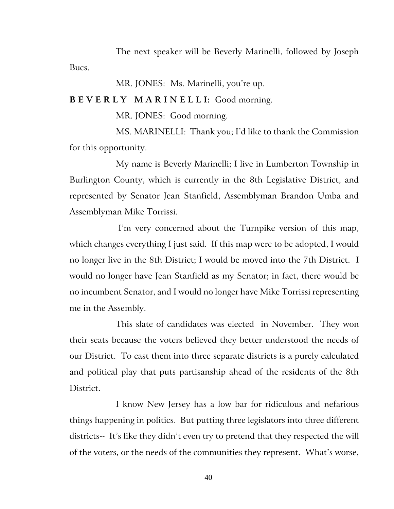The next speaker will be Beverly Marinelli, followed by Joseph Bucs.

MR. JONES: Ms. Marinelli, you're up.

#### **B E V E R L Y M A R I N E L L I:** Good morning.

MR. JONES: Good morning.

MS. MARINELLI: Thank you; I'd like to thank the Commission for this opportunity.

My name is Beverly Marinelli; I live in Lumberton Township in Burlington County, which is currently in the 8th Legislative District, and represented by Senator Jean Stanfield, Assemblyman Brandon Umba and Assemblyman Mike Torrissi.

I'm very concerned about the Turnpike version of this map, which changes everything I just said. If this map were to be adopted, I would no longer live in the 8th District; I would be moved into the 7th District. I would no longer have Jean Stanfield as my Senator; in fact, there would be no incumbent Senator, and I would no longer have Mike Torrissi representing me in the Assembly.

This slate of candidates was elected in November. They won their seats because the voters believed they better understood the needs of our District. To cast them into three separate districts is a purely calculated and political play that puts partisanship ahead of the residents of the 8th District.

I know New Jersey has a low bar for ridiculous and nefarious things happening in politics. But putting three legislators into three different districts-- It's like they didn't even try to pretend that they respected the will of the voters, or the needs of the communities they represent. What's worse,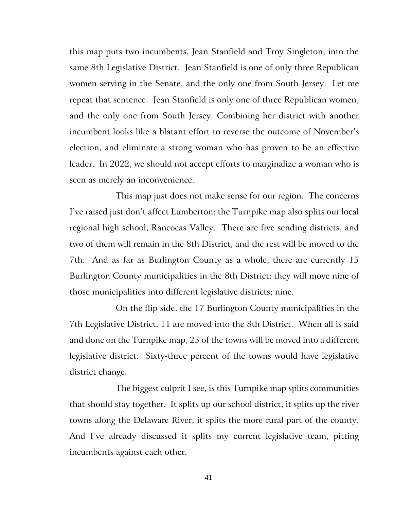this map puts two incumbents, Jean Stanfield and Troy Singleton, into the same 8th Legislative District. Jean Stanfield is one of only three Republican women serving in the Senate, and the only one from South Jersey. Let me repeat that sentence. Jean Stanfield is only one of three Republican women, and the only one from South Jersey. Combining her district with another incumbent looks like a blatant effort to reverse the outcome of November's election, and eliminate a strong woman who has proven to be an effective leader. In 2022, we should not accept efforts to marginalize a woman who is seen as merely an inconvenience.

This map just does not make sense for our region. The concerns I've raised just don't affect Lumberton; the Turnpike map also splits our local regional high school, Rancocas Valley. There are five sending districts, and two of them will remain in the 8th District, and the rest will be moved to the 7th. And as far as Burlington County as a whole, there are currently 15 Burlington County municipalities in the 8th District; they will move nine of those municipalities into different legislative districts; nine.

On the flip side, the 17 Burlington County municipalities in the 7th Legislative District, 11 are moved into the 8th District. When all is said and done on the Turnpike map, 25 of the towns will be moved into a different legislative district. Sixty-three percent of the towns would have legislative district change.

The biggest culprit I see, is this Turnpike map splits communities that should stay together. It splits up our school district, it splits up the river towns along the Delaware River, it splits the more rural part of the county. And I've already discussed it splits my current legislative team, pitting incumbents against each other.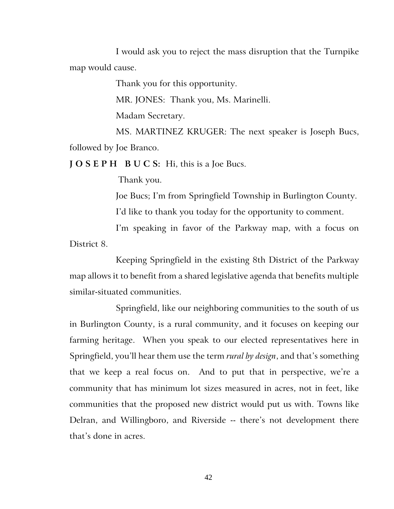I would ask you to reject the mass disruption that the Turnpike map would cause.

Thank you for this opportunity.

MR. JONES: Thank you, Ms. Marinelli.

Madam Secretary.

MS. MARTINEZ KRUGER: The next speaker is Joseph Bucs, followed by Joe Branco.

**J O S E P H B U C S:** Hi, this is a Joe Bucs.

Thank you.

Joe Bucs; I'm from Springfield Township in Burlington County.

I'd like to thank you today for the opportunity to comment.

I'm speaking in favor of the Parkway map, with a focus on District 8.

Keeping Springfield in the existing 8th District of the Parkway map allows it to benefit from a shared legislative agenda that benefits multiple similar-situated communities.

Springfield, like our neighboring communities to the south of us in Burlington County, is a rural community, and it focuses on keeping our farming heritage. When you speak to our elected representatives here in Springfield, you'll hear them use the term *rural by design*, and that's something that we keep a real focus on. And to put that in perspective, we're a community that has minimum lot sizes measured in acres, not in feet, like communities that the proposed new district would put us with. Towns like Delran, and Willingboro, and Riverside -- there's not development there that's done in acres.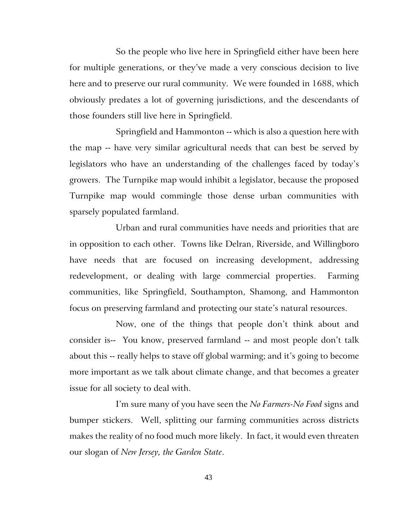So the people who live here in Springfield either have been here for multiple generations, or they've made a very conscious decision to live here and to preserve our rural community. We were founded in 1688, which obviously predates a lot of governing jurisdictions, and the descendants of those founders still live here in Springfield.

Springfield and Hammonton -- which is also a question here with the map -- have very similar agricultural needs that can best be served by legislators who have an understanding of the challenges faced by today's growers. The Turnpike map would inhibit a legislator, because the proposed Turnpike map would commingle those dense urban communities with sparsely populated farmland.

Urban and rural communities have needs and priorities that are in opposition to each other. Towns like Delran, Riverside, and Willingboro have needs that are focused on increasing development, addressing redevelopment, or dealing with large commercial properties. Farming communities, like Springfield, Southampton, Shamong, and Hammonton focus on preserving farmland and protecting our state's natural resources.

Now, one of the things that people don't think about and consider is-- You know, preserved farmland -- and most people don't talk about this -- really helps to stave off global warming; and it's going to become more important as we talk about climate change, and that becomes a greater issue for all society to deal with.

I'm sure many of you have seen the *No Farmers-No Food* signs and bumper stickers. Well, splitting our farming communities across districts makes the reality of no food much more likely. In fact, it would even threaten our slogan of *New Jersey, the Garden State*.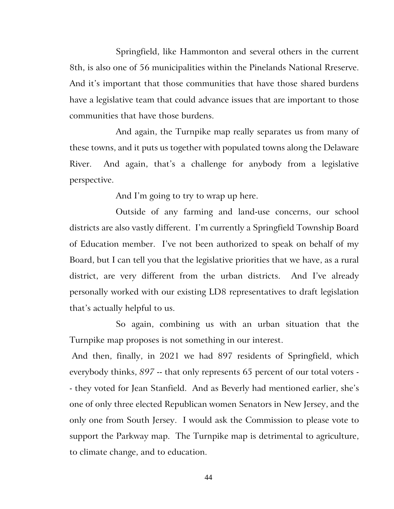Springfield, like Hammonton and several others in the current 8th, is also one of 56 municipalities within the Pinelands National Rreserve. And it's important that those communities that have those shared burdens have a legislative team that could advance issues that are important to those communities that have those burdens.

And again, the Turnpike map really separates us from many of these towns, and it puts us together with populated towns along the Delaware River. And again, that's a challenge for anybody from a legislative perspective.

And I'm going to try to wrap up here.

Outside of any farming and land-use concerns, our school districts are also vastly different. I'm currently a Springfield Township Board of Education member. I've not been authorized to speak on behalf of my Board, but I can tell you that the legislative priorities that we have, as a rural district, are very different from the urban districts. And I've already personally worked with our existing LD8 representatives to draft legislation that's actually helpful to us.

So again, combining us with an urban situation that the Turnpike map proposes is not something in our interest.

And then, finally, in 2021 we had 897 residents of Springfield, which everybody thinks, *897* -- that only represents 65 percent of our total voters - - they voted for Jean Stanfield. And as Beverly had mentioned earlier, she's one of only three elected Republican women Senators in New Jersey, and the only one from South Jersey. I would ask the Commission to please vote to support the Parkway map. The Turnpike map is detrimental to agriculture, to climate change, and to education.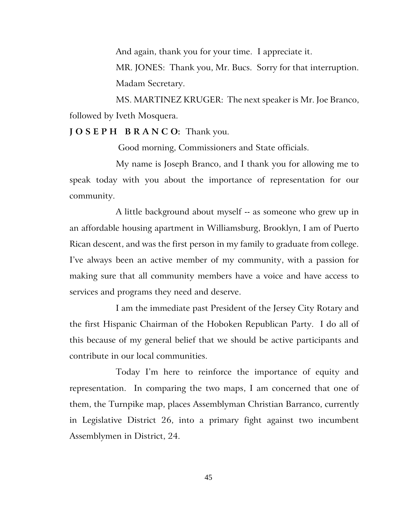And again, thank you for your time. I appreciate it. MR. JONES: Thank you, Mr. Bucs. Sorry for that interruption. Madam Secretary.

MS. MARTINEZ KRUGER: The next speaker is Mr. Joe Branco, followed by Iveth Mosquera.

#### **J O S E P H B R A N C O:** Thank you.

Good morning, Commissioners and State officials.

My name is Joseph Branco, and I thank you for allowing me to speak today with you about the importance of representation for our community.

A little background about myself -- as someone who grew up in an affordable housing apartment in Williamsburg, Brooklyn, I am of Puerto Rican descent, and was the first person in my family to graduate from college. I've always been an active member of my community, with a passion for making sure that all community members have a voice and have access to services and programs they need and deserve.

I am the immediate past President of the Jersey City Rotary and the first Hispanic Chairman of the Hoboken Republican Party. I do all of this because of my general belief that we should be active participants and contribute in our local communities.

Today I'm here to reinforce the importance of equity and representation. In comparing the two maps, I am concerned that one of them, the Turnpike map, places Assemblyman Christian Barranco, currently in Legislative District 26, into a primary fight against two incumbent Assemblymen in District, 24.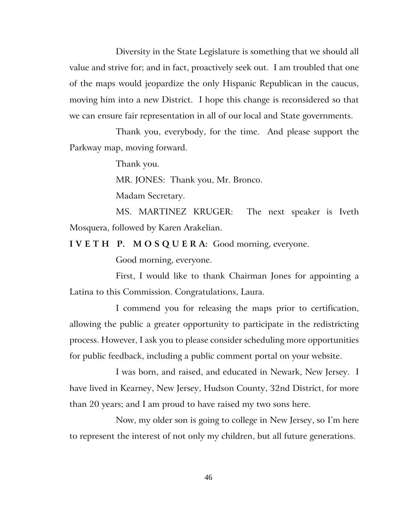Diversity in the State Legislature is something that we should all value and strive for; and in fact, proactively seek out. I am troubled that one of the maps would jeopardize the only Hispanic Republican in the caucus, moving him into a new District. I hope this change is reconsidered so that we can ensure fair representation in all of our local and State governments.

Thank you, everybody, for the time. And please support the Parkway map, moving forward.

Thank you.

MR. JONES: Thank you, Mr. Bronco.

Madam Secretary.

MS. MARTINEZ KRUGER: The next speaker is Iveth Mosquera, followed by Karen Arakelian.

**I V E T H P. M O S Q U E R A:** Good morning, everyone.

Good morning, everyone.

First, I would like to thank Chairman Jones for appointing a Latina to this Commission. Congratulations, Laura.

I commend you for releasing the maps prior to certification, allowing the public a greater opportunity to participate in the redistricting process. However, I ask you to please consider scheduling more opportunities for public feedback, including a public comment portal on your website.

I was born, and raised, and educated in Newark, New Jersey. I have lived in Kearney, New Jersey, Hudson County, 32nd District, for more than 20 years; and I am proud to have raised my two sons here.

Now, my older son is going to college in New Jersey, so I'm here to represent the interest of not only my children, but all future generations.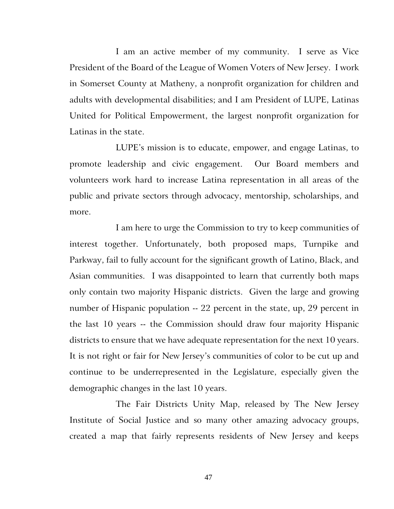I am an active member of my community. I serve as Vice President of the Board of the League of Women Voters of New Jersey. I work in Somerset County at Matheny, a nonprofit organization for children and adults with developmental disabilities; and I am President of LUPE, Latinas United for Political Empowerment, the largest nonprofit organization for Latinas in the state.

LUPE's mission is to educate, empower, and engage Latinas, to promote leadership and civic engagement. Our Board members and volunteers work hard to increase Latina representation in all areas of the public and private sectors through advocacy, mentorship, scholarships, and more.

I am here to urge the Commission to try to keep communities of interest together. Unfortunately, both proposed maps, Turnpike and Parkway, fail to fully account for the significant growth of Latino, Black, and Asian communities. I was disappointed to learn that currently both maps only contain two majority Hispanic districts. Given the large and growing number of Hispanic population -- 22 percent in the state, up, 29 percent in the last 10 years -- the Commission should draw four majority Hispanic districts to ensure that we have adequate representation for the next 10 years. It is not right or fair for New Jersey's communities of color to be cut up and continue to be underrepresented in the Legislature, especially given the demographic changes in the last 10 years.

The Fair Districts Unity Map, released by The New Jersey Institute of Social Justice and so many other amazing advocacy groups, created a map that fairly represents residents of New Jersey and keeps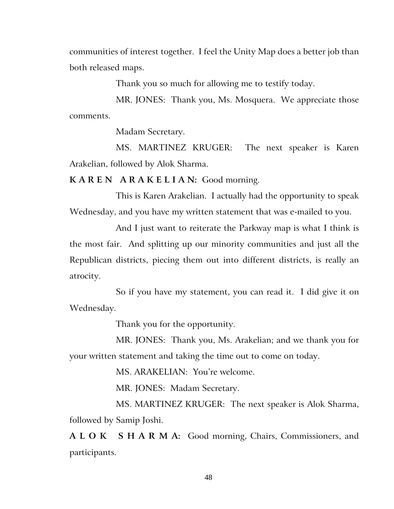communities of interest together. I feel the Unity Map does a better job than both released maps.

Thank you so much for allowing me to testify today.

MR. JONES: Thank you, Ms. Mosquera. We appreciate those comments.

Madam Secretary.

MS. MARTINEZ KRUGER: The next speaker is Karen Arakelian, followed by Alok Sharma.

**K A R E N A R A K E L I A N:** Good morning.

This is Karen Arakelian. I actually had the opportunity to speak Wednesday, and you have my written statement that was e-mailed to you.

And I just want to reiterate the Parkway map is what I think is the most fair. And splitting up our minority communities and just all the Republican districts, piecing them out into different districts, is really an atrocity.

So if you have my statement, you can read it. I did give it on Wednesday.

Thank you for the opportunity.

MR. JONES: Thank you, Ms. Arakelian; and we thank you for your written statement and taking the time out to come on today.

MS. ARAKELIAN: You're welcome.

MR. JONES: Madam Secretary.

MS. MARTINEZ KRUGER: The next speaker is Alok Sharma, followed by Samip Joshi.

**A L O K S H A R M A:** Good morning, Chairs, Commissioners, and participants.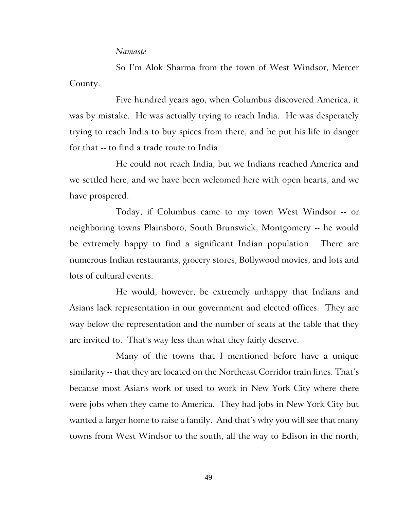#### *Namaste.*

So I'm Alok Sharma from the town of West Windsor, Mercer County.

Five hundred years ago, when Columbus discovered America, it was by mistake. He was actually trying to reach India. He was desperately trying to reach India to buy spices from there, and he put his life in danger for that -- to find a trade route to India.

He could not reach India, but we Indians reached America and we settled here, and we have been welcomed here with open hearts, and we have prospered.

Today, if Columbus came to my town West Windsor -- or neighboring towns Plainsboro, South Brunswick, Montgomery -- he would be extremely happy to find a significant Indian population. There are numerous Indian restaurants, grocery stores, Bollywood movies, and lots and lots of cultural events.

He would, however, be extremely unhappy that Indians and Asians lack representation in our government and elected offices. They are way below the representation and the number of seats at the table that they are invited to. That's way less than what they fairly deserve.

Many of the towns that I mentioned before have a unique similarity -- that they are located on the Northeast Corridor train lines. That's because most Asians work or used to work in New York City where there were jobs when they came to America. They had jobs in New York City but wanted a larger home to raise a family. And that's why you will see that many towns from West Windsor to the south, all the way to Edison in the north,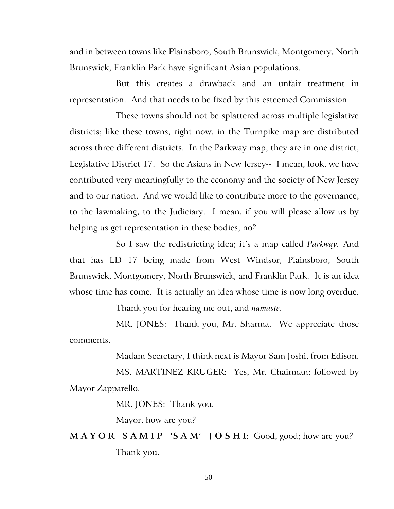and in between towns like Plainsboro, South Brunswick, Montgomery, North Brunswick, Franklin Park have significant Asian populations.

But this creates a drawback and an unfair treatment in representation. And that needs to be fixed by this esteemed Commission.

These towns should not be splattered across multiple legislative districts; like these towns, right now, in the Turnpike map are distributed across three different districts. In the Parkway map, they are in one district, Legislative District 17. So the Asians in New Jersey-- I mean, look, we have contributed very meaningfully to the economy and the society of New Jersey and to our nation. And we would like to contribute more to the governance, to the lawmaking, to the Judiciary. I mean, if you will please allow us by helping us get representation in these bodies, no?

So I saw the redistricting idea; it's a map called *Parkway.* And that has LD 17 being made from West Windsor, Plainsboro, South Brunswick, Montgomery, North Brunswick, and Franklin Park. It is an idea whose time has come. It is actually an idea whose time is now long overdue.

Thank you for hearing me out, and *namaste*.

MR. JONES: Thank you, Mr. Sharma. We appreciate those comments.

Madam Secretary, I think next is Mayor Sam Joshi, from Edison.

MS. MARTINEZ KRUGER: Yes, Mr. Chairman; followed by Mayor Zapparello.

MR. JONES: Thank you.

Mayor, how are you?

**M A Y O R S A M I P 'S A M' J O S H I:** Good, good; how are you? Thank you.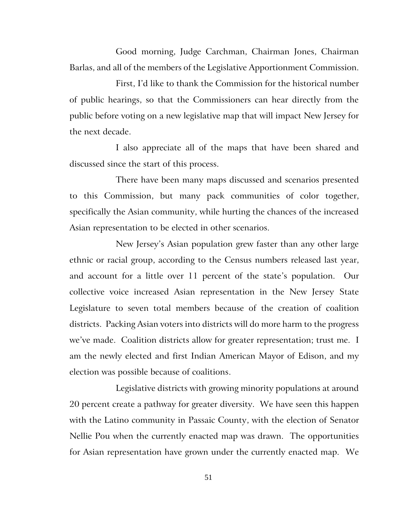Good morning, Judge Carchman, Chairman Jones, Chairman Barlas, and all of the members of the Legislative Apportionment Commission.

First, I'd like to thank the Commission for the historical number of public hearings, so that the Commissioners can hear directly from the public before voting on a new legislative map that will impact New Jersey for the next decade.

I also appreciate all of the maps that have been shared and discussed since the start of this process.

There have been many maps discussed and scenarios presented to this Commission, but many pack communities of color together, specifically the Asian community, while hurting the chances of the increased Asian representation to be elected in other scenarios.

New Jersey's Asian population grew faster than any other large ethnic or racial group, according to the Census numbers released last year, and account for a little over 11 percent of the state's population. Our collective voice increased Asian representation in the New Jersey State Legislature to seven total members because of the creation of coalition districts. Packing Asian voters into districts will do more harm to the progress we've made. Coalition districts allow for greater representation; trust me. I am the newly elected and first Indian American Mayor of Edison, and my election was possible because of coalitions.

Legislative districts with growing minority populations at around 20 percent create a pathway for greater diversity. We have seen this happen with the Latino community in Passaic County, with the election of Senator Nellie Pou when the currently enacted map was drawn. The opportunities for Asian representation have grown under the currently enacted map. We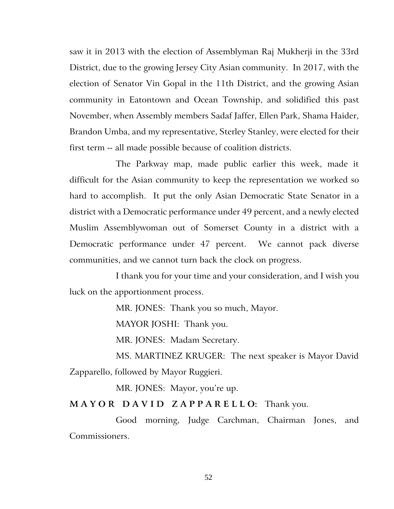saw it in 2013 with the election of Assemblyman Raj Mukherji in the 33rd District, due to the growing Jersey City Asian community. In 2017, with the election of Senator Vin Gopal in the 11th District, and the growing Asian community in Eatontown and Ocean Township, and solidified this past November, when Assembly members Sadaf Jaffer, Ellen Park, Shama Haider, Brandon Umba, and my representative, Sterley Stanley, were elected for their first term -- all made possible because of coalition districts.

The Parkway map, made public earlier this week, made it difficult for the Asian community to keep the representation we worked so hard to accomplish. It put the only Asian Democratic State Senator in a district with a Democratic performance under 49 percent, and a newly elected Muslim Assemblywoman out of Somerset County in a district with a Democratic performance under 47 percent. We cannot pack diverse communities, and we cannot turn back the clock on progress.

I thank you for your time and your consideration, and I wish you luck on the apportionment process.

MR. JONES: Thank you so much, Mayor.

MAYOR JOSHI: Thank you.

MR. JONES: Madam Secretary.

MS. MARTINEZ KRUGER: The next speaker is Mayor David Zapparello, followed by Mayor Ruggieri.

MR. JONES: Mayor, you're up.

**M A Y O R D A V I D Z A P P A R E L L O:** Thank you.

Good morning, Judge Carchman, Chairman Jones, and Commissioners.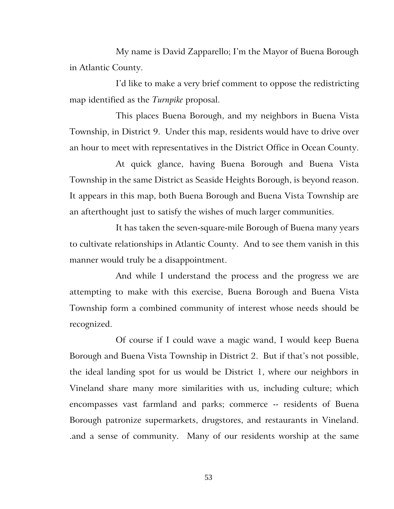My name is David Zapparello; I'm the Mayor of Buena Borough in Atlantic County.

I'd like to make a very brief comment to oppose the redistricting map identified as the *Turnpike* proposal.

This places Buena Borough, and my neighbors in Buena Vista Township, in District 9. Under this map, residents would have to drive over an hour to meet with representatives in the District Office in Ocean County.

At quick glance, having Buena Borough and Buena Vista Township in the same District as Seaside Heights Borough, is beyond reason. It appears in this map, both Buena Borough and Buena Vista Township are an afterthought just to satisfy the wishes of much larger communities.

It has taken the seven-square-mile Borough of Buena many years to cultivate relationships in Atlantic County. And to see them vanish in this manner would truly be a disappointment.

And while I understand the process and the progress we are attempting to make with this exercise, Buena Borough and Buena Vista Township form a combined community of interest whose needs should be recognized.

Of course if I could wave a magic wand, I would keep Buena Borough and Buena Vista Township in District 2. But if that's not possible, the ideal landing spot for us would be District 1, where our neighbors in Vineland share many more similarities with us, including culture; which encompasses vast farmland and parks; commerce -- residents of Buena Borough patronize supermarkets, drugstores, and restaurants in Vineland. .and a sense of community. Many of our residents worship at the same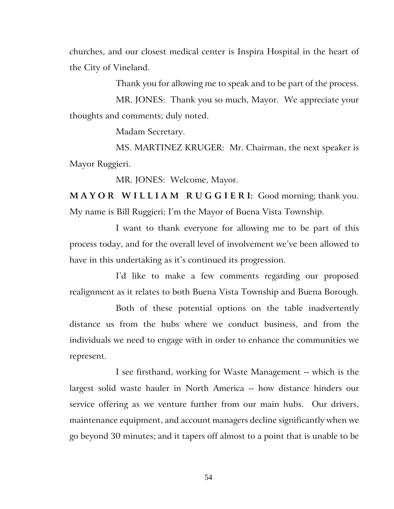churches, and our closest medical center is Inspira Hospital in the heart of the City of Vineland.

Thank you for allowing me to speak and to be part of the process.

MR. JONES: Thank you so much, Mayor. We appreciate your thoughts and comments; duly noted.

Madam Secretary.

MS. MARTINEZ KRUGER: Mr. Chairman, the next speaker is Mayor Ruggieri.

MR. JONES: Welcome, Mayor.

**M A Y O R W I L L I A M R U G G I E R I:** Good morning; thank you. My name is Bill Ruggieri; I'm the Mayor of Buena Vista Township.

I want to thank everyone for allowing me to be part of this process today, and for the overall level of involvement we've been allowed to have in this undertaking as it's continued its progression.

I'd like to make a few comments regarding our proposed realignment as it relates to both Buena Vista Township and Buena Borough.

Both of these potential options on the table inadvertently distance us from the hubs where we conduct business, and from the individuals we need to engage with in order to enhance the communities we represent.

I see firsthand, working for Waste Management -- which is the largest solid waste hauler in North America -- how distance hinders our service offering as we venture further from our main hubs. Our drivers, maintenance equipment, and account managers decline significantly when we go beyond 30 minutes; and it tapers off almost to a point that is unable to be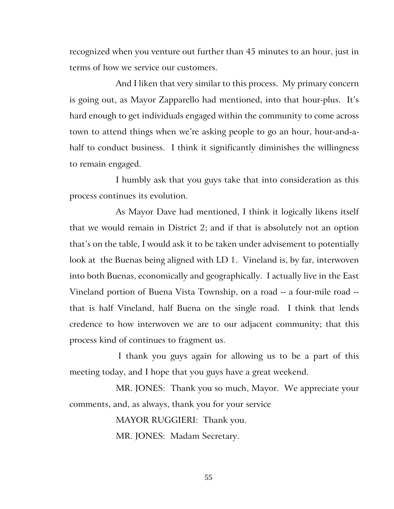recognized when you venture out further than 45 minutes to an hour, just in terms of how we service our customers.

And I liken that very similar to this process. My primary concern is going out, as Mayor Zapparello had mentioned, into that hour-plus. It's hard enough to get individuals engaged within the community to come across town to attend things when we're asking people to go an hour, hour-and-ahalf to conduct business. I think it significantly diminishes the willingness to remain engaged.

I humbly ask that you guys take that into consideration as this process continues its evolution.

As Mayor Dave had mentioned, I think it logically likens itself that we would remain in District 2; and if that is absolutely not an option that's on the table, I would ask it to be taken under advisement to potentially look at the Buenas being aligned with LD 1. Vineland is, by far, interwoven into both Buenas, economically and geographically. I actually live in the East Vineland portion of Buena Vista Township, on a road -- a four-mile road - that is half Vineland, half Buena on the single road. I think that lends credence to how interwoven we are to our adjacent community; that this process kind of continues to fragment us.

I thank you guys again for allowing us to be a part of this meeting today, and I hope that you guys have a great weekend.

MR. JONES: Thank you so much, Mayor. We appreciate your comments, and, as always, thank you for your service

> MAYOR RUGGIERI: Thank you. MR. JONES: Madam Secretary.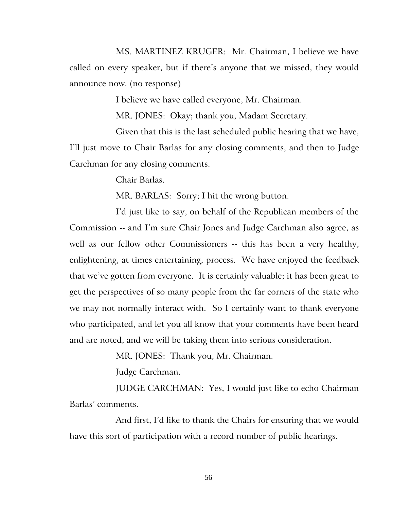MS. MARTINEZ KRUGER: Mr. Chairman, I believe we have called on every speaker, but if there's anyone that we missed, they would announce now. (no response)

I believe we have called everyone, Mr. Chairman.

MR. JONES: Okay; thank you, Madam Secretary.

Given that this is the last scheduled public hearing that we have, I'll just move to Chair Barlas for any closing comments, and then to Judge Carchman for any closing comments.

Chair Barlas.

MR. BARLAS: Sorry; I hit the wrong button.

I'd just like to say, on behalf of the Republican members of the Commission -- and I'm sure Chair Jones and Judge Carchman also agree, as well as our fellow other Commissioners -- this has been a very healthy, enlightening, at times entertaining, process. We have enjoyed the feedback that we've gotten from everyone. It is certainly valuable; it has been great to get the perspectives of so many people from the far corners of the state who we may not normally interact with. So I certainly want to thank everyone who participated, and let you all know that your comments have been heard and are noted, and we will be taking them into serious consideration.

MR. JONES: Thank you, Mr. Chairman.

Judge Carchman.

JUDGE CARCHMAN: Yes, I would just like to echo Chairman Barlas' comments.

And first, I'd like to thank the Chairs for ensuring that we would have this sort of participation with a record number of public hearings.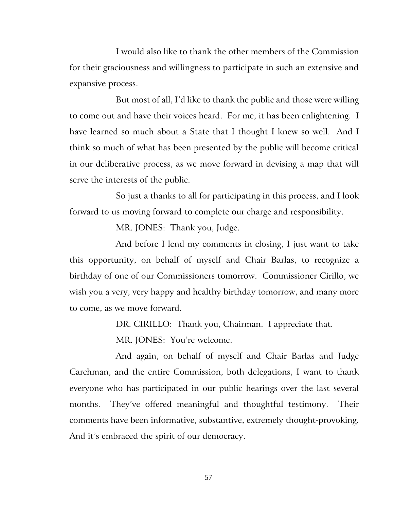I would also like to thank the other members of the Commission for their graciousness and willingness to participate in such an extensive and expansive process.

But most of all, I'd like to thank the public and those were willing to come out and have their voices heard. For me, it has been enlightening. I have learned so much about a State that I thought I knew so well. And I think so much of what has been presented by the public will become critical in our deliberative process, as we move forward in devising a map that will serve the interests of the public.

So just a thanks to all for participating in this process, and I look forward to us moving forward to complete our charge and responsibility.

MR. JONES: Thank you, Judge.

And before I lend my comments in closing, I just want to take this opportunity, on behalf of myself and Chair Barlas, to recognize a birthday of one of our Commissioners tomorrow. Commissioner Cirillo, we wish you a very, very happy and healthy birthday tomorrow, and many more to come, as we move forward.

DR. CIRILLO: Thank you, Chairman. I appreciate that.

MR. JONES: You're welcome.

And again, on behalf of myself and Chair Barlas and Judge Carchman, and the entire Commission, both delegations, I want to thank everyone who has participated in our public hearings over the last several months. They've offered meaningful and thoughtful testimony. Their comments have been informative, substantive, extremely thought-provoking. And it's embraced the spirit of our democracy.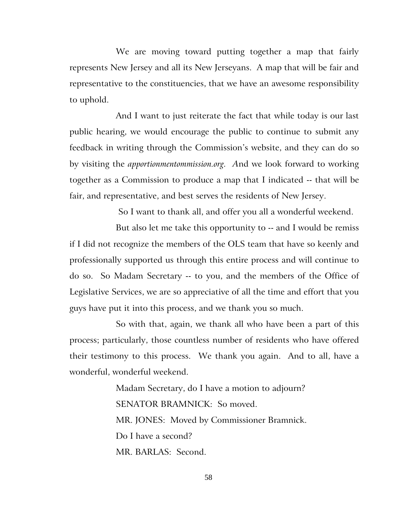We are moving toward putting together a map that fairly represents New Jersey and all its New Jerseyans. A map that will be fair and representative to the constituencies, that we have an awesome responsibility to uphold.

And I want to just reiterate the fact that while today is our last public hearing, we would encourage the public to continue to submit any feedback in writing through the Commission's website, and they can do so by visiting the *apportionmentommission.org. A*nd we look forward to working together as a Commission to produce a map that I indicated -- that will be fair, and representative, and best serves the residents of New Jersey.

So I want to thank all, and offer you all a wonderful weekend.

But also let me take this opportunity to -- and I would be remiss if I did not recognize the members of the OLS team that have so keenly and professionally supported us through this entire process and will continue to do so. So Madam Secretary -- to you, and the members of the Office of Legislative Services, we are so appreciative of all the time and effort that you guys have put it into this process, and we thank you so much.

So with that, again, we thank all who have been a part of this process; particularly, those countless number of residents who have offered their testimony to this process. We thank you again. And to all, have a wonderful, wonderful weekend.

> Madam Secretary, do I have a motion to adjourn? SENATOR BRAMNICK: So moved. MR. JONES: Moved by Commissioner Bramnick. Do I have a second? MR. BARLAS: Second.